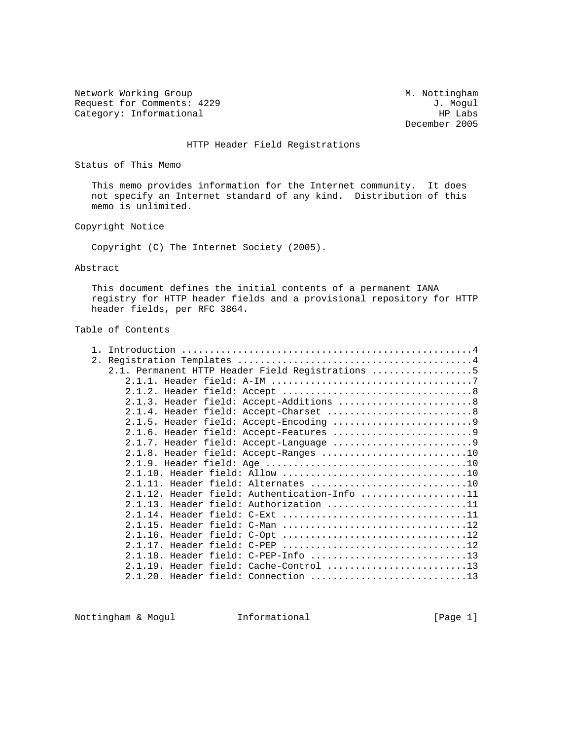Network Working Group Methods and M. Nottingham Request for Comments: 4229 J. Mogul<br>Category: Informational and the set of the set of the set of the set of the set of the set of the set of the s Category: Informational

December 2005

## HTTP Header Field Registrations

Status of This Memo

 This memo provides information for the Internet community. It does not specify an Internet standard of any kind. Distribution of this memo is unlimited.

### Copyright Notice

Copyright (C) The Internet Society (2005).

#### Abstract

 This document defines the initial contents of a permanent IANA registry for HTTP header fields and a provisional repository for HTTP header fields, per RFC 3864.

# Table of Contents

| 2.1. Permanent HTTP Header Field Registrations 5 |
|--------------------------------------------------|
|                                                  |
|                                                  |
| 2.1.3. Header field: Accept-Additions 8          |
|                                                  |
|                                                  |
|                                                  |
|                                                  |
| 2.1.8. Header field: Accept-Ranges 10            |
|                                                  |
|                                                  |
| 2.1.11. Header field: Alternates 10              |
| 2.1.12. Header field: Authentication-Info 11     |
| 2.1.13. Header field: Authorization 11           |
| 2.1.14. Header field: C-Ext 11                   |
| 2.1.15. Header field: C-Man 12                   |
|                                                  |
| 2.1.17. Header field: C-PEP 12                   |
| 2.1.18. Header field: C-PEP-Info 13              |
| 2.1.19. Header field: Cache-Control 13           |
| 2.1.20. Header field: Connection 13              |

Nottingham & Mogul **Informational Informational** [Page 1]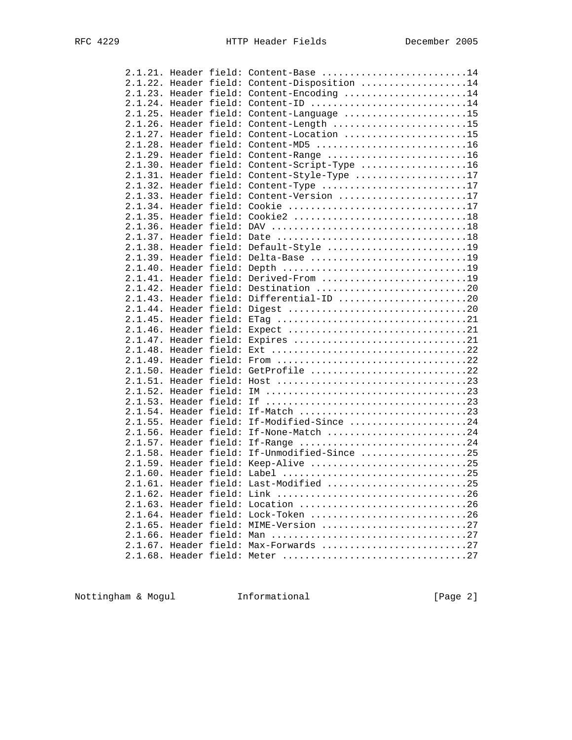|  |  | 2.1.21. Header field: Content-Base 14        |  |
|--|--|----------------------------------------------|--|
|  |  | 2.1.22. Header field: Content-Disposition 14 |  |
|  |  | 2.1.23. Header field: Content-Encoding 14    |  |
|  |  | 2.1.24. Header field: Content-ID 14          |  |
|  |  | 2.1.25. Header field: Content-Language 15    |  |
|  |  | 2.1.26. Header field: Content-Length 15      |  |
|  |  | 2.1.27. Header field: Content-Location 15    |  |
|  |  | 2.1.28. Header field: Content-MD5 16         |  |
|  |  | 2.1.29. Header field: Content-Range 16       |  |
|  |  | 2.1.30. Header field: Content-Script-Type 16 |  |
|  |  | 2.1.31. Header field: Content-Style-Type 17  |  |
|  |  | 2.1.32. Header field: Content-Type 17        |  |
|  |  | 2.1.33. Header field: Content-Version 17     |  |
|  |  | 2.1.34. Header field: Cookie 17              |  |
|  |  |                                              |  |
|  |  |                                              |  |
|  |  |                                              |  |
|  |  | 2.1.38. Header field: Default-Style 19       |  |
|  |  | 2.1.39. Header field: Delta-Base 19          |  |
|  |  |                                              |  |
|  |  | 2.1.41. Header field: Derived-From 19        |  |
|  |  | 2.1.42. Header field: Destination 20         |  |
|  |  | 2.1.43. Header field: Differential-ID 20     |  |
|  |  |                                              |  |
|  |  |                                              |  |
|  |  |                                              |  |
|  |  |                                              |  |
|  |  |                                              |  |
|  |  |                                              |  |
|  |  | 2.1.50. Header field: GetProfile 22          |  |
|  |  |                                              |  |
|  |  |                                              |  |
|  |  |                                              |  |
|  |  |                                              |  |
|  |  | 2.1.55. Header field: If-Modified-Since 24   |  |
|  |  | 2.1.56. Header field: If-None-Match 24       |  |
|  |  | 2.1.57. Header field: If-Range 24            |  |
|  |  | 2.1.58. Header field: If-Unmodified-Since 25 |  |
|  |  | 2.1.59. Header field: Keep-Alive 25          |  |
|  |  |                                              |  |
|  |  | 2.1.61. Header field: Last-Modified 25       |  |
|  |  |                                              |  |
|  |  | 2.1.63. Header field: Location 26            |  |
|  |  | 2.1.64. Header field: Lock-Token 26          |  |
|  |  | 2.1.65. Header field: MIME-Version 27        |  |
|  |  |                                              |  |
|  |  | 2.1.67. Header field: Max-Forwards 27        |  |
|  |  |                                              |  |
|  |  |                                              |  |

Nottingham & Mogul **Informational Informational** [Page 2]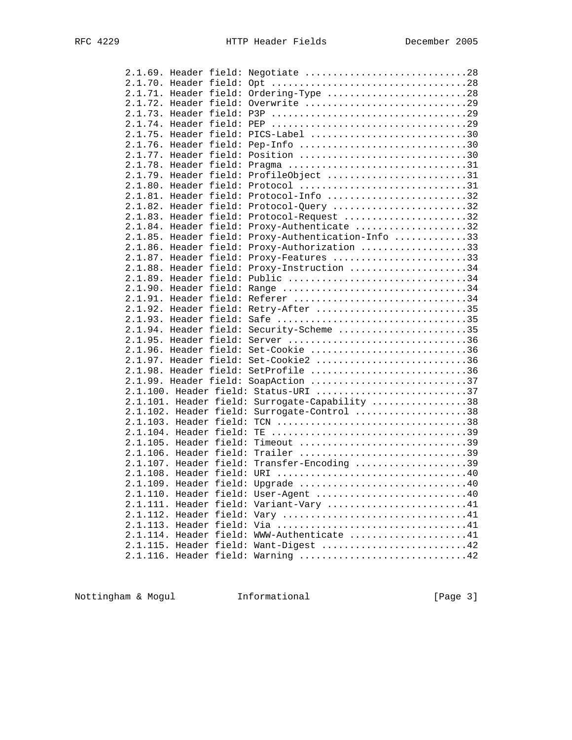|  |  | 2.1.69. Header field: Negotiate 28                 |  |
|--|--|----------------------------------------------------|--|
|  |  |                                                    |  |
|  |  | 2.1.71. Header field: Ordering-Type 28             |  |
|  |  | 2.1.72. Header field: Overwrite 29                 |  |
|  |  |                                                    |  |
|  |  |                                                    |  |
|  |  | 2.1.75. Header field: PICS-Label 30                |  |
|  |  | 2.1.76. Header field: Pep-Info 30                  |  |
|  |  | 2.1.77. Header field: Position 30                  |  |
|  |  | 2.1.78. Header field: Pragma 31                    |  |
|  |  | 2.1.79. Header field: ProfileObject 31             |  |
|  |  | 2.1.80. Header field: Protocol 31                  |  |
|  |  | 2.1.81. Header field: Protocol-Info 32             |  |
|  |  | 2.1.82. Header field: Protocol-Query 32            |  |
|  |  | 2.1.83. Header field: Protocol-Request 32          |  |
|  |  | 2.1.84. Header field: Proxy-Authenticate 32        |  |
|  |  | 2.1.85. Header field: Proxy-Authentication-Info 33 |  |
|  |  | 2.1.86. Header field: Proxy-Authorization 33       |  |
|  |  | 2.1.87. Header field: Proxy-Features 33            |  |
|  |  | 2.1.88. Header field: Proxy-Instruction 34         |  |
|  |  | 2.1.89. Header field: Public 34                    |  |
|  |  | 2.1.90. Header field: Range 34                     |  |
|  |  |                                                    |  |
|  |  | 2.1.92. Header field: Retry-After 35               |  |
|  |  | 2.1.93. Header field: Safe 35                      |  |
|  |  | 2.1.94. Header field: Security-Scheme 35           |  |
|  |  |                                                    |  |
|  |  | 2.1.96. Header field: Set-Cookie 36                |  |
|  |  | 2.1.97. Header field: Set-Cookie2 36               |  |
|  |  | 2.1.98. Header field: SetProfile 36                |  |
|  |  | 2.1.99. Header field: SoapAction 37                |  |
|  |  | 2.1.100. Header field: Status-URI 37               |  |
|  |  | 2.1.101. Header field: Surrogate-Capability 38     |  |
|  |  | 2.1.102. Header field: Surrogate-Control 38        |  |
|  |  |                                                    |  |
|  |  |                                                    |  |
|  |  | 2.1.105. Header field: Timeout 39                  |  |
|  |  | 2.1.106. Header field: Trailer 39                  |  |
|  |  | 2.1.107. Header field: Transfer-Encoding 39        |  |
|  |  |                                                    |  |
|  |  | 2.1.109. Header field: Upgrade 40                  |  |
|  |  | 2.1.110. Header field: User-Agent 40               |  |
|  |  | 2.1.111. Header field: Variant-Vary 41             |  |
|  |  |                                                    |  |
|  |  |                                                    |  |
|  |  | 2.1.114. Header field: WWW-Authenticate 41         |  |
|  |  | 2.1.115. Header field: Want-Digest 42              |  |
|  |  | 2.1.116. Header field: Warning 42                  |  |
|  |  |                                                    |  |

Nottingham & Mogul **Informational Informational** [Page 3]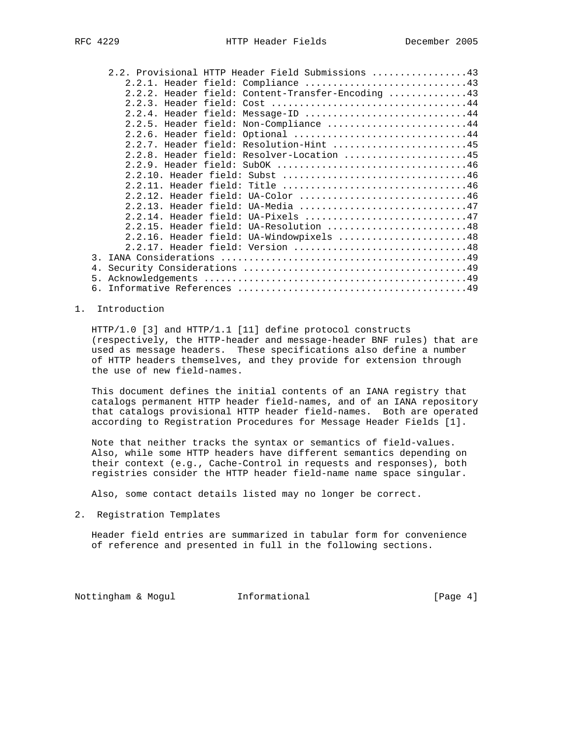|               | 2.2. Provisional HTTP Header Field Submissions 43 |
|---------------|---------------------------------------------------|
|               |                                                   |
|               | 2.2.2. Header field: Content-Transfer-Encoding 43 |
|               | 2.2.3. Header field: Cost 44                      |
|               | 2.2.4. Header field: Message-ID 44                |
|               | 2.2.5. Header field: Non-Compliance 44            |
|               | 2.2.6. Header field: Optional 44                  |
|               | 2.2.7. Header field: Resolution-Hint 45           |
|               | 2.2.8. Header field: Resolver-Location 45         |
|               | 2.2.9. Header field: SubOK 46                     |
|               |                                                   |
|               | 2.2.11. Header field: Title 46                    |
|               | 2.2.12. Header field: UA-Color 46                 |
|               | 2.2.13. Header field: UA-Media 47                 |
|               | 2.2.14. Header field: UA-Pixels 47                |
|               | 2.2.15. Header field: UA-Resolution 48            |
|               | 2.2.16. Header field: UA-Windowpixels 48          |
|               | 2.2.17. Header field: Version 48                  |
| $\mathcal{R}$ |                                                   |
| 4.            |                                                   |
| 5.            |                                                   |
|               |                                                   |

## 1. Introduction

 HTTP/1.0 [3] and HTTP/1.1 [11] define protocol constructs (respectively, the HTTP-header and message-header BNF rules) that are used as message headers. These specifications also define a number of HTTP headers themselves, and they provide for extension through the use of new field-names.

 This document defines the initial contents of an IANA registry that catalogs permanent HTTP header field-names, and of an IANA repository that catalogs provisional HTTP header field-names. Both are operated according to Registration Procedures for Message Header Fields [1].

 Note that neither tracks the syntax or semantics of field-values. Also, while some HTTP headers have different semantics depending on their context (e.g., Cache-Control in requests and responses), both registries consider the HTTP header field-name name space singular.

Also, some contact details listed may no longer be correct.

2. Registration Templates

 Header field entries are summarized in tabular form for convenience of reference and presented in full in the following sections.

Nottingham & Mogul Informational [Page 4]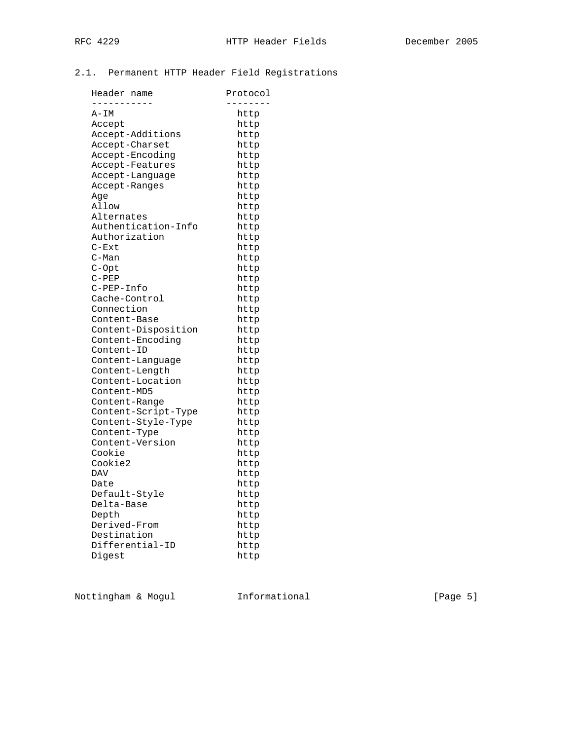# 2.1. Permanent HTTP Header Field Registrations

| Header name         | Protocol |
|---------------------|----------|
|                     |          |
| A-IM                | http     |
| Accept              | http     |
| Accept-Additions    | http     |
| Accept-Charset      | http     |
| Accept-Encoding     | http     |
| Accept-Features     | http     |
| Accept-Language     | http     |
| Accept-Ranges       | http     |
| Aqe                 | http     |
| Allow               | http     |
| Alternates          | http     |
| Authentication-Info | http     |
| Authorization       | http     |
| $C-Ext$             | http     |
| $C-Man$             | http     |
| C-Opt               | http     |
| $C-PEP$             | http     |
| C-PEP-Info          | http     |
| Cache-Control       | http     |
| Connection          | http     |
| Content-Base        | http     |
| Content-Disposition | http     |
| Content-Encoding    | http     |
| Content-ID          | http     |
| Content-Language    | http     |
| Content-Length      | http     |
| Content-Location    | http     |
| Content-MD5         | http     |
| Content-Range       | http     |
| Content-Script-Type | http     |
| Content-Style-Type  | http     |
| Content-Type        | http     |
| Content-Version     | http     |
| Cookie              | http     |
| Cookie2             | http     |
| DAV                 | http     |
| Date                | http     |
| Default-Style       | http     |
| Delta-Base          | http     |
| Depth               | http     |
| Derived-From        | http     |
| Destination         | http     |
| Differential-ID     | http     |
| Digest              | http     |
|                     |          |

Nottingham & Mogul **Informational Informational** [Page 5]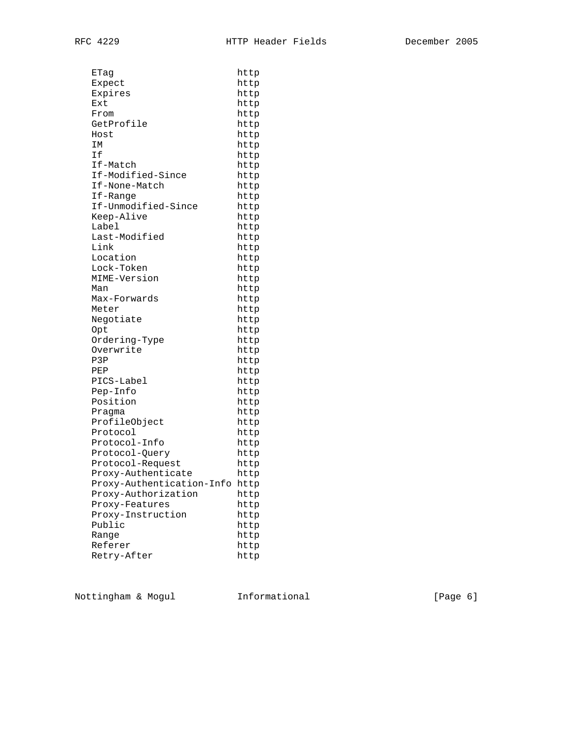| ETaq                      | http |
|---------------------------|------|
| Expect                    | http |
| Expires                   | http |
| Ext                       | http |
| From                      | http |
| GetProfile                | http |
| Host                      | http |
| IΜ                        | http |
| Ιf                        | http |
| If-Match                  | http |
| If-Modified-Since         | http |
| If-None-Match             | http |
| If-Range                  | http |
| If-Unmodified-Since       | http |
| Keep-Alive                | http |
| Label                     | http |
| Last-Modified             | http |
| Link                      | http |
| Location                  | http |
| Lock-Token                | http |
| MIME-Version              | http |
| Man                       | http |
| Max-Forwards              | http |
| Meter                     | http |
| Negotiate                 | http |
| Opt                       | http |
| Ordering-Type             | http |
| Overwrite                 | http |
| P3P                       | http |
| PEP                       | http |
| PICS-Label                | http |
| Pep-Info                  | http |
| Position                  | http |
| Pragma                    | http |
| ProfileObject             | http |
| Protocol                  | http |
| Protocol-Info             | http |
| Protocol-Query            | http |
| Protocol-Request          | http |
| Proxy-Authenticate        | http |
| Proxy-Authentication-Info | http |
| Proxy-Authorization       | http |
| Proxy-Features            | http |
| Proxy-Instruction         | http |
| Public                    | http |
| Range                     | http |
| Referer                   | http |
| Retry-After               | http |
|                           |      |

Nottingham & Mogul **Informational Informational** [Page 6]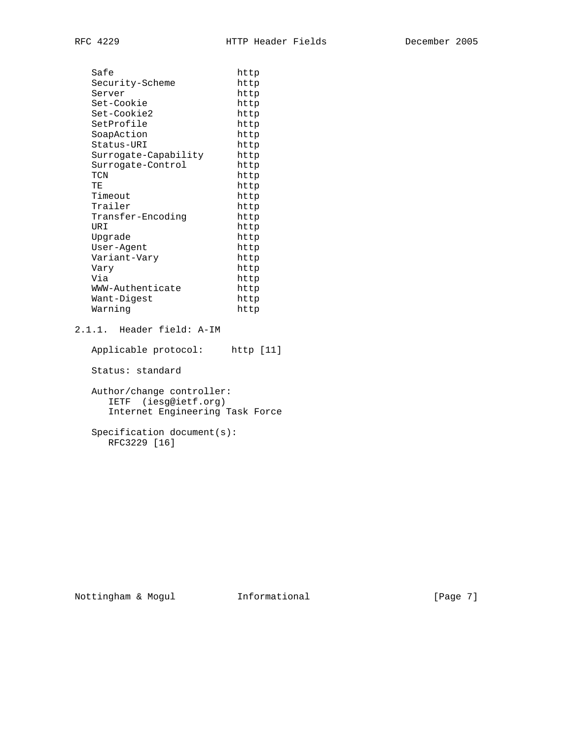| Safe                 | http |
|----------------------|------|
| Security-Scheme      | http |
| Server               | http |
| Set-Cookie           | http |
| Set-Cookie2          | http |
| SetProfile           | http |
| SoapAction           | http |
| Status-URI           | http |
| Surrogate-Capability | http |
| Surrogate-Control    | http |
| TCN                  | http |
| TЕ                   | http |
| Timeout              | http |
| Trailer              | http |
| Transfer-Encodinq    | http |
| URI                  | http |
| Upgrade              | http |
| User-Agent           | http |
| Variant-Vary         | http |
| Vary                 | http |
| Via                  | http |
| WWW-Authenticate     | http |
| Want-Digest          | http |
| Warning              | http |
|                      |      |

# 2.1.1. Header field: A-IM

 Applicable protocol: http [11] Status: standard Author/change controller: IETF (iesg@ietf.org) Internet Engineering Task Force Specification document(s): RFC3229 [16]

Nottingham & Mogul **Informational Informational** [Page 7]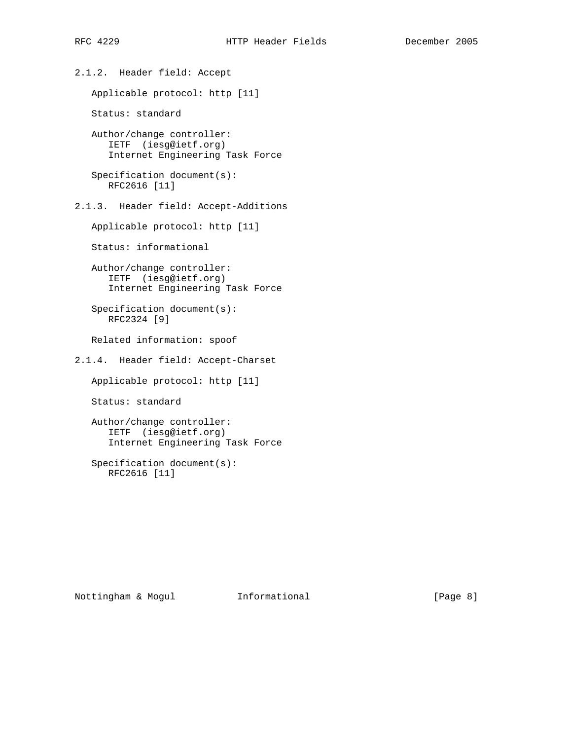2.1.2. Header field: Accept

Applicable protocol: http [11]

Status: standard

 Author/change controller: IETF (iesg@ietf.org) Internet Engineering Task Force

```
 Specification document(s):
   RFC2616 [11]
```
2.1.3. Header field: Accept-Additions

Applicable protocol: http [11]

Status: informational

 Author/change controller: IETF (iesg@ietf.org) Internet Engineering Task Force

 Specification document(s): RFC2324 [9]

Related information: spoof

2.1.4. Header field: Accept-Charset

Applicable protocol: http [11]

Status: standard

 Author/change controller: IETF (iesg@ietf.org) Internet Engineering Task Force

 Specification document(s): RFC2616 [11]

Nottingham & Mogul **Informational Informational** [Page 8]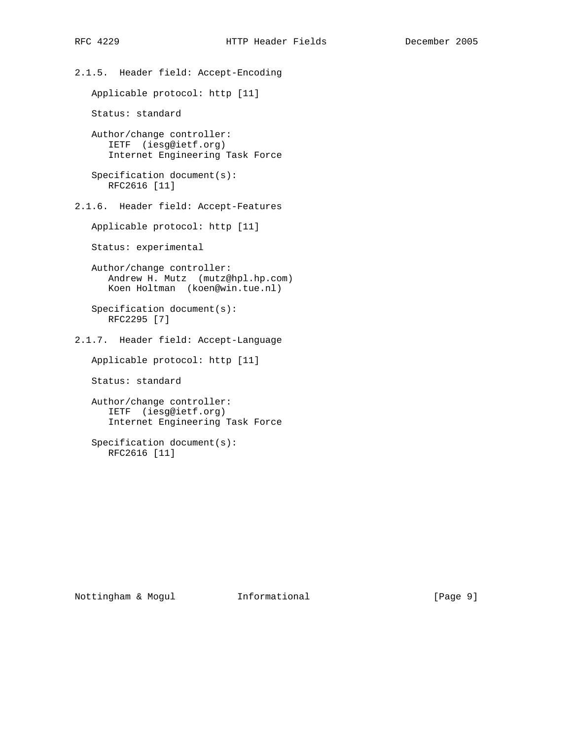2.1.5. Header field: Accept-Encoding

Applicable protocol: http [11]

Status: standard

 Author/change controller: IETF (iesg@ietf.org) Internet Engineering Task Force

 Specification document(s): RFC2616 [11]

2.1.6. Header field: Accept-Features

Applicable protocol: http [11]

Status: experimental

 Author/change controller: Andrew H. Mutz (mutz@hpl.hp.com) Koen Holtman (koen@win.tue.nl)

 Specification document(s): RFC2295 [7]

2.1.7. Header field: Accept-Language

Applicable protocol: http [11]

Status: standard

 Author/change controller: IETF (iesg@ietf.org) Internet Engineering Task Force

 Specification document(s): RFC2616 [11]

Nottingham & Mogul Informational [Page 9]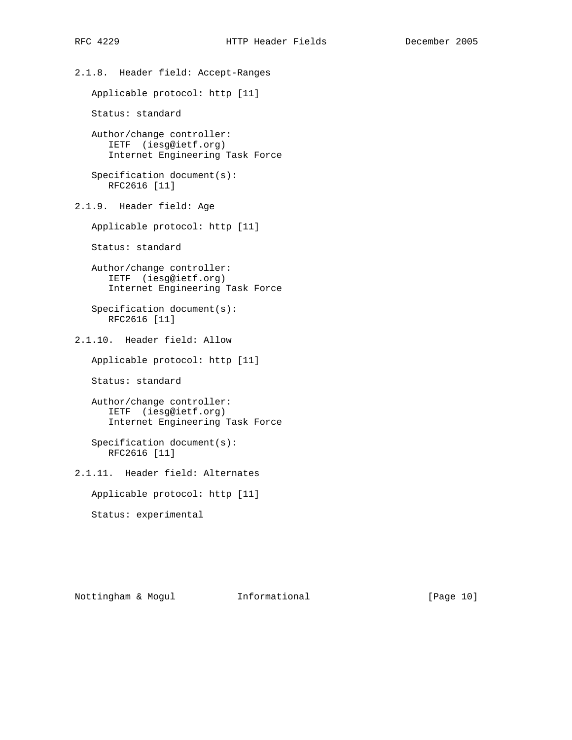2.1.8. Header field: Accept-Ranges Applicable protocol: http [11] Status: standard Author/change controller: IETF (iesg@ietf.org) Internet Engineering Task Force Specification document(s): RFC2616 [11] 2.1.9. Header field: Age Applicable protocol: http [11] Status: standard Author/change controller: IETF (iesg@ietf.org) Internet Engineering Task Force Specification document(s): RFC2616 [11] 2.1.10. Header field: Allow Applicable protocol: http [11] Status: standard Author/change controller: IETF (iesg@ietf.org) Internet Engineering Task Force Specification document(s): RFC2616 [11] 2.1.11. Header field: Alternates Applicable protocol: http [11] Status: experimental

Nottingham & Mogul Informational [Page 10]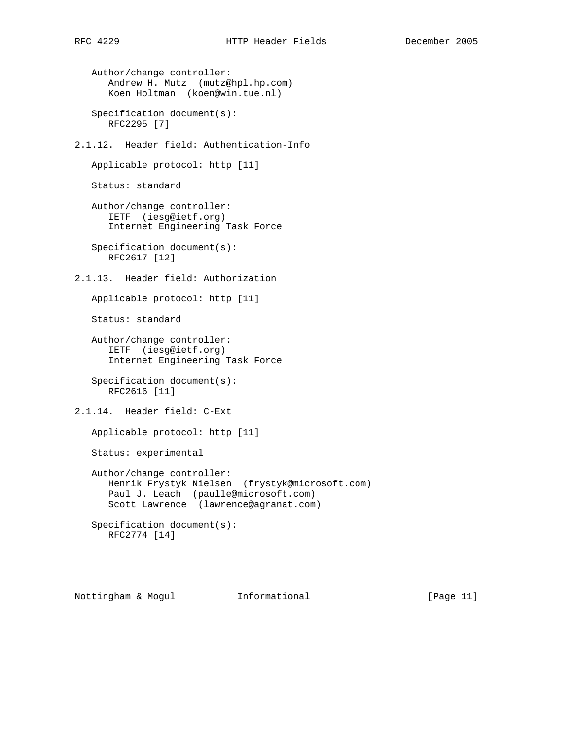Author/change controller: Andrew H. Mutz (mutz@hpl.hp.com) Koen Holtman (koen@win.tue.nl) Specification document(s): RFC2295 [7] 2.1.12. Header field: Authentication-Info Applicable protocol: http [11] Status: standard Author/change controller: IETF (iesg@ietf.org) Internet Engineering Task Force Specification document(s): RFC2617 [12] 2.1.13. Header field: Authorization Applicable protocol: http [11] Status: standard Author/change controller: IETF (iesg@ietf.org) Internet Engineering Task Force Specification document(s): RFC2616 [11] 2.1.14. Header field: C-Ext Applicable protocol: http [11] Status: experimental Author/change controller: Henrik Frystyk Nielsen (frystyk@microsoft.com) Paul J. Leach (paulle@microsoft.com) Scott Lawrence (lawrence@agranat.com) Specification document(s): RFC2774 [14]

Nottingham & Mogul Informational [Page 11]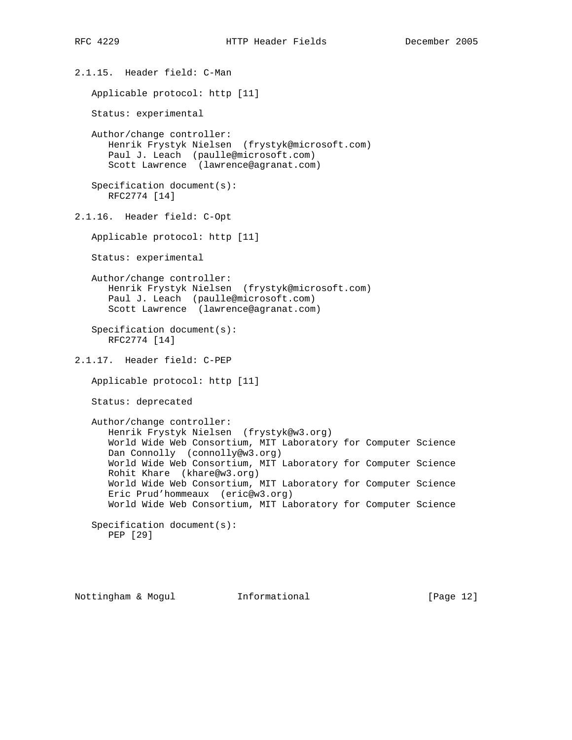2.1.15. Header field: C-Man Applicable protocol: http [11] Status: experimental Author/change controller: Henrik Frystyk Nielsen (frystyk@microsoft.com) Paul J. Leach (paulle@microsoft.com) Scott Lawrence (lawrence@agranat.com) Specification document(s): RFC2774 [14] 2.1.16. Header field: C-Opt Applicable protocol: http [11] Status: experimental Author/change controller: Henrik Frystyk Nielsen (frystyk@microsoft.com) Paul J. Leach (paulle@microsoft.com) Scott Lawrence (lawrence@agranat.com) Specification document(s): RFC2774 [14] 2.1.17. Header field: C-PEP Applicable protocol: http [11] Status: deprecated Author/change controller: Henrik Frystyk Nielsen (frystyk@w3.org) World Wide Web Consortium, MIT Laboratory for Computer Science Dan Connolly (connolly@w3.org) World Wide Web Consortium, MIT Laboratory for Computer Science Rohit Khare (khare@w3.org) World Wide Web Consortium, MIT Laboratory for Computer Science Eric Prud'hommeaux (eric@w3.org) World Wide Web Consortium, MIT Laboratory for Computer Science Specification document(s): PEP [29]

Nottingham & Mogul Informational [Page 12]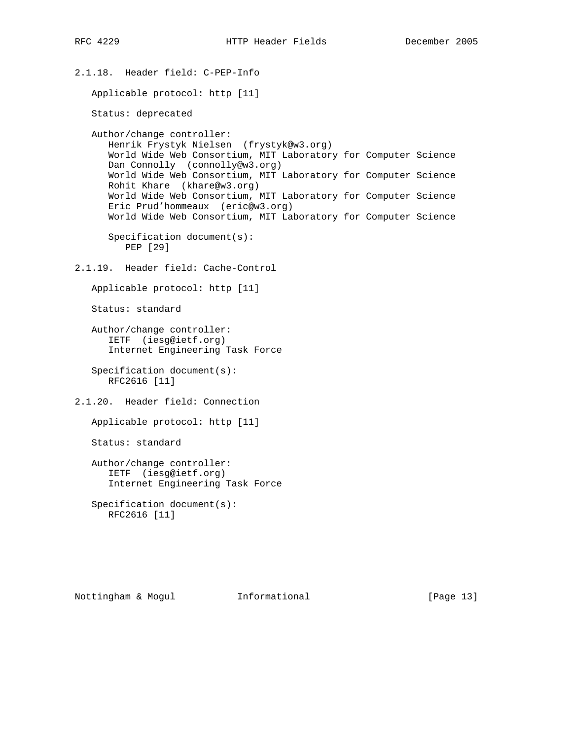```
2.1.18. Header field: C-PEP-Info
   Applicable protocol: http [11]
   Status: deprecated
   Author/change controller:
      Henrik Frystyk Nielsen (frystyk@w3.org)
       World Wide Web Consortium, MIT Laboratory for Computer Science
      Dan Connolly (connolly@w3.org)
      World Wide Web Consortium, MIT Laboratory for Computer Science
      Rohit Khare (khare@w3.org)
      World Wide Web Consortium, MIT Laboratory for Computer Science
      Eric Prud'hommeaux (eric@w3.org)
      World Wide Web Consortium, MIT Laboratory for Computer Science
      Specification document(s):
         PEP [29]
2.1.19. Header field: Cache-Control
   Applicable protocol: http [11]
   Status: standard
   Author/change controller:
       IETF (iesg@ietf.org)
       Internet Engineering Task Force
    Specification document(s):
      RFC2616 [11]
2.1.20. Header field: Connection
   Applicable protocol: http [11]
   Status: standard
   Author/change controller:
      IETF (iesg@ietf.org)
      Internet Engineering Task Force
    Specification document(s):
      RFC2616 [11]
```
Nottingham & Mogul Informational [Page 13]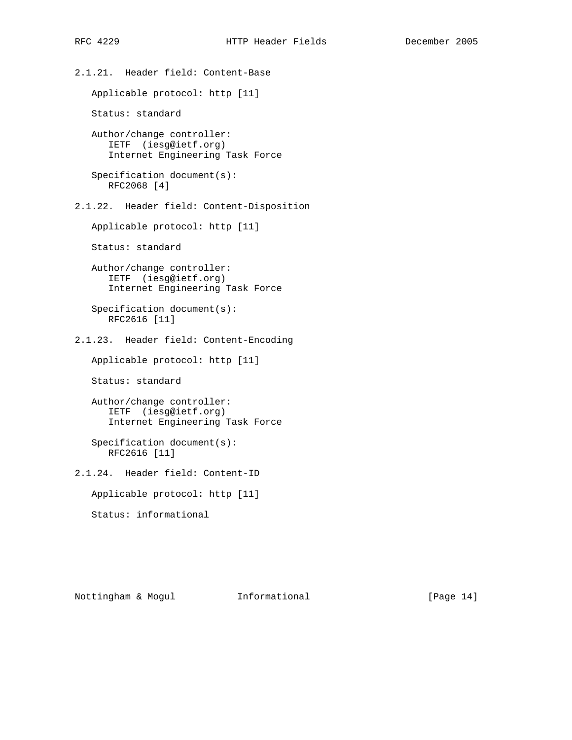2.1.21. Header field: Content-Base Applicable protocol: http [11] Status: standard Author/change controller: IETF (iesg@ietf.org) Internet Engineering Task Force Specification document(s): RFC2068 [4] 2.1.22. Header field: Content-Disposition Applicable protocol: http [11] Status: standard Author/change controller: IETF (iesg@ietf.org) Internet Engineering Task Force Specification document(s): RFC2616 [11] 2.1.23. Header field: Content-Encoding Applicable protocol: http [11] Status: standard Author/change controller: IETF (iesg@ietf.org) Internet Engineering Task Force Specification document(s): RFC2616 [11] 2.1.24. Header field: Content-ID Applicable protocol: http [11] Status: informational

Nottingham & Mogul Informational [Page 14]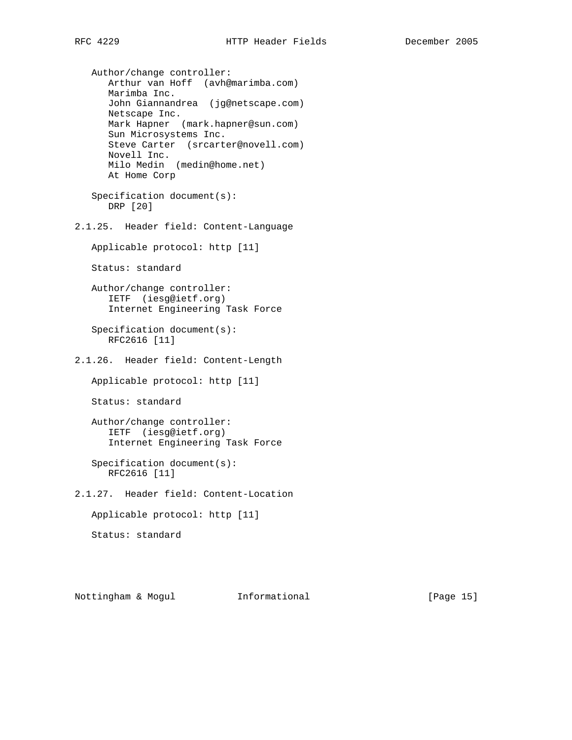Author/change controller: Arthur van Hoff (avh@marimba.com) Marimba Inc. John Giannandrea (jg@netscape.com) Netscape Inc. Mark Hapner (mark.hapner@sun.com) Sun Microsystems Inc. Steve Carter (srcarter@novell.com) Novell Inc. Milo Medin (medin@home.net) At Home Corp Specification document(s): DRP [20]

2.1.25. Header field: Content-Language

Applicable protocol: http [11]

Status: standard

 Author/change controller: IETF (iesg@ietf.org) Internet Engineering Task Force

 Specification document(s): RFC2616 [11]

2.1.26. Header field: Content-Length

Applicable protocol: http [11]

Status: standard

 Author/change controller: IETF (iesg@ietf.org) Internet Engineering Task Force

 Specification document(s): RFC2616 [11]

2.1.27. Header field: Content-Location

Applicable protocol: http [11]

Status: standard

Nottingham & Mogul Informational [Page 15]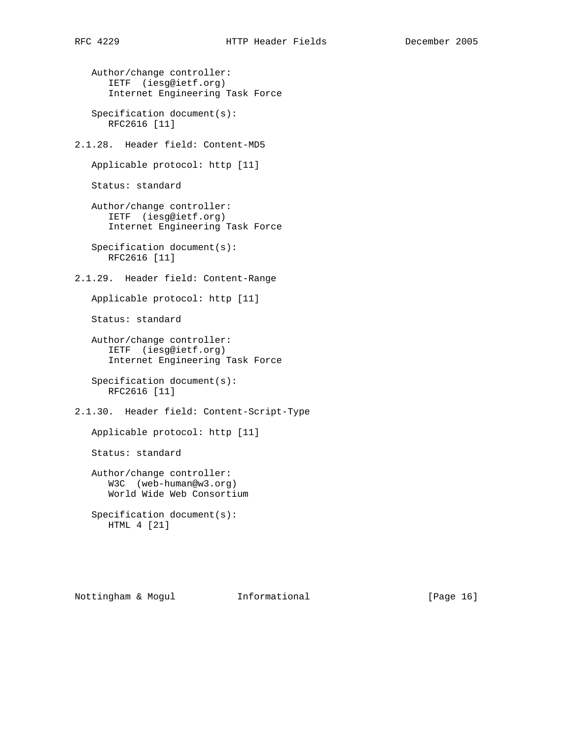Author/change controller: IETF (iesg@ietf.org) Internet Engineering Task Force Specification document(s): RFC2616 [11] 2.1.28. Header field: Content-MD5 Applicable protocol: http [11] Status: standard Author/change controller: IETF (iesg@ietf.org) Internet Engineering Task Force Specification document(s): RFC2616 [11] 2.1.29. Header field: Content-Range Applicable protocol: http [11] Status: standard Author/change controller:

 IETF (iesg@ietf.org) Internet Engineering Task Force

 Specification document(s): RFC2616 [11]

2.1.30. Header field: Content-Script-Type

Applicable protocol: http [11]

Status: standard

 Author/change controller: W3C (web-human@w3.org) World Wide Web Consortium

 Specification document(s): HTML 4 [21]

Nottingham & Mogul Informational [Page 16]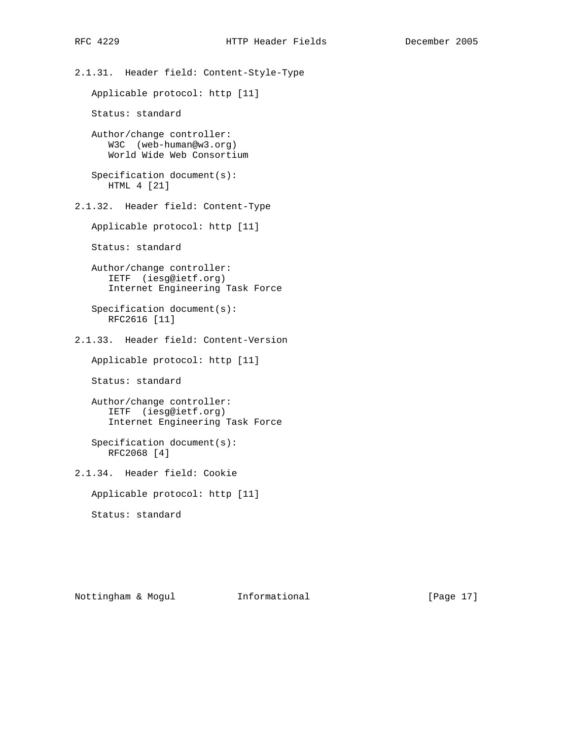2.1.31. Header field: Content-Style-Type Applicable protocol: http [11] Status: standard Author/change controller: W3C (web-human@w3.org) World Wide Web Consortium Specification document(s): HTML 4 [21] 2.1.32. Header field: Content-Type Applicable protocol: http [11] Status: standard Author/change controller: IETF (iesg@ietf.org) Internet Engineering Task Force Specification document(s): RFC2616 [11] 2.1.33. Header field: Content-Version Applicable protocol: http [11] Status: standard Author/change controller: IETF (iesg@ietf.org) Internet Engineering Task Force Specification document(s): RFC2068 [4] 2.1.34. Header field: Cookie Applicable protocol: http [11] Status: standard

Nottingham & Mogul Informational [Page 17]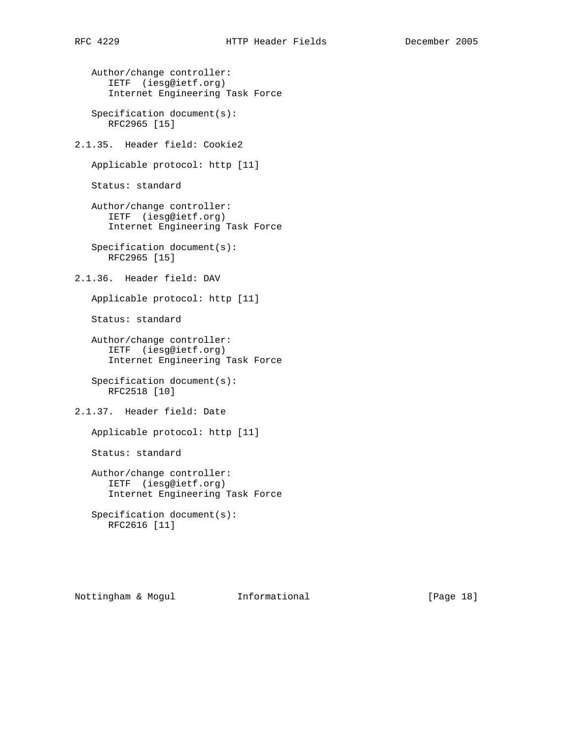Author/change controller: IETF (iesg@ietf.org) Internet Engineering Task Force Specification document(s): RFC2965 [15] 2.1.35. Header field: Cookie2 Applicable protocol: http [11] Status: standard Author/change controller: IETF (iesg@ietf.org) Internet Engineering Task Force Specification document(s): RFC2965 [15] 2.1.36. Header field: DAV Applicable protocol: http [11] Status: standard Author/change controller: IETF (iesg@ietf.org) Internet Engineering Task Force Specification document(s): RFC2518 [10] 2.1.37. Header field: Date Applicable protocol: http [11] Status: standard Author/change controller: IETF (iesg@ietf.org) Internet Engineering Task Force Specification document(s): RFC2616 [11]

Nottingham & Mogul Informational [Page 18]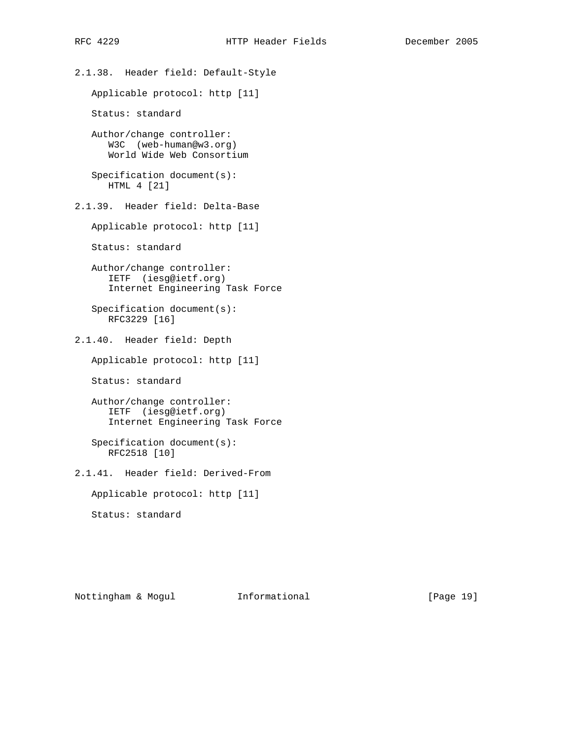2.1.38. Header field: Default-Style Applicable protocol: http [11] Status: standard Author/change controller: W3C (web-human@w3.org) World Wide Web Consortium Specification document(s): HTML 4 [21] 2.1.39. Header field: Delta-Base Applicable protocol: http [11] Status: standard Author/change controller: IETF (iesg@ietf.org) Internet Engineering Task Force Specification document(s): RFC3229 [16] 2.1.40. Header field: Depth Applicable protocol: http [11] Status: standard Author/change controller: IETF (iesg@ietf.org) Internet Engineering Task Force Specification document(s): RFC2518 [10] 2.1.41. Header field: Derived-From Applicable protocol: http [11] Status: standard

Nottingham & Mogul Informational [Page 19]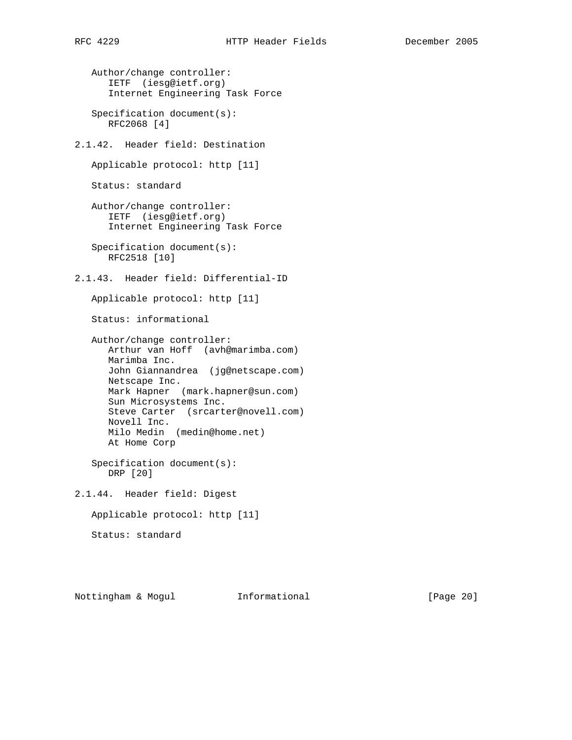Author/change controller: IETF (iesg@ietf.org) Internet Engineering Task Force Specification document(s): RFC2068 [4] 2.1.42. Header field: Destination Applicable protocol: http [11] Status: standard Author/change controller: IETF (iesg@ietf.org) Internet Engineering Task Force Specification document(s): RFC2518 [10] 2.1.43. Header field: Differential-ID Applicable protocol: http [11] Status: informational Author/change controller: Arthur van Hoff (avh@marimba.com) Marimba Inc. John Giannandrea (jg@netscape.com) Netscape Inc. Mark Hapner (mark.hapner@sun.com) Sun Microsystems Inc. Steve Carter (srcarter@novell.com) Novell Inc. Milo Medin (medin@home.net) At Home Corp Specification document(s): DRP [20] 2.1.44. Header field: Digest Applicable protocol: http [11] Status: standard

Nottingham & Mogul Informational [Page 20]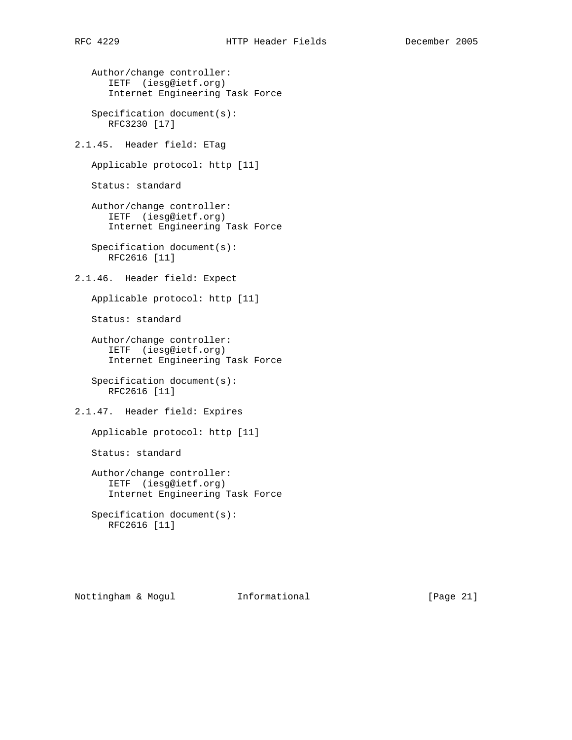```
 Author/change controller:
    IETF (iesg@ietf.org)
    Internet Engineering Task Force
```
 Specification document(s): RFC3230 [17]

2.1.45. Header field: ETag

Applicable protocol: http [11]

Status: standard

```
 Author/change controller:
    IETF (iesg@ietf.org)
    Internet Engineering Task Force
```
 Specification document(s): RFC2616 [11]

2.1.46. Header field: Expect

Applicable protocol: http [11]

Status: standard

```
 Author/change controller:
    IETF (iesg@ietf.org)
    Internet Engineering Task Force
```
 Specification document(s): RFC2616 [11]

2.1.47. Header field: Expires

Applicable protocol: http [11]

Status: standard

 Author/change controller: IETF (iesg@ietf.org) Internet Engineering Task Force

 Specification document(s): RFC2616 [11]

Nottingham & Mogul Informational [Page 21]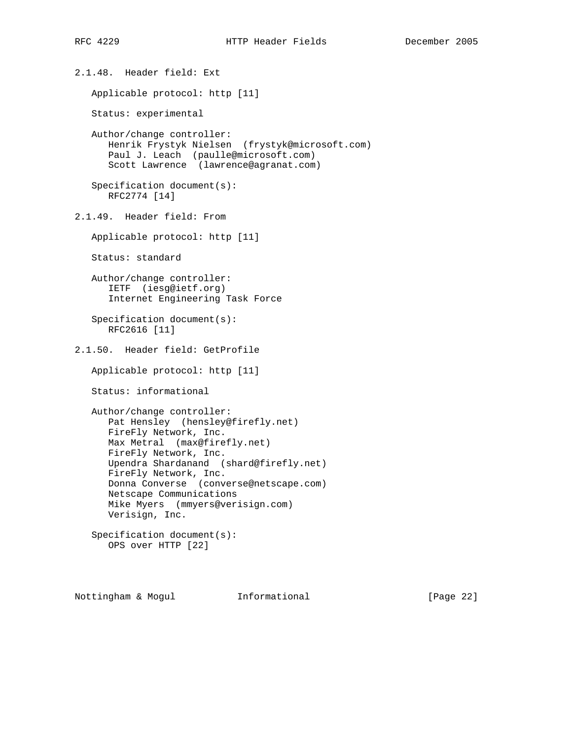2.1.48. Header field: Ext Applicable protocol: http [11] Status: experimental Author/change controller: Henrik Frystyk Nielsen (frystyk@microsoft.com) Paul J. Leach (paulle@microsoft.com) Scott Lawrence (lawrence@agranat.com) Specification document(s): RFC2774 [14] 2.1.49. Header field: From Applicable protocol: http [11] Status: standard Author/change controller: IETF (iesg@ietf.org) Internet Engineering Task Force Specification document(s): RFC2616 [11] 2.1.50. Header field: GetProfile Applicable protocol: http [11] Status: informational Author/change controller: Pat Hensley (hensley@firefly.net) FireFly Network, Inc. Max Metral (max@firefly.net) FireFly Network, Inc. Upendra Shardanand (shard@firefly.net) FireFly Network, Inc. Donna Converse (converse@netscape.com) Netscape Communications Mike Myers (mmyers@verisign.com) Verisign, Inc. Specification document(s): OPS over HTTP [22]

Nottingham & Mogul Informational [Page 22]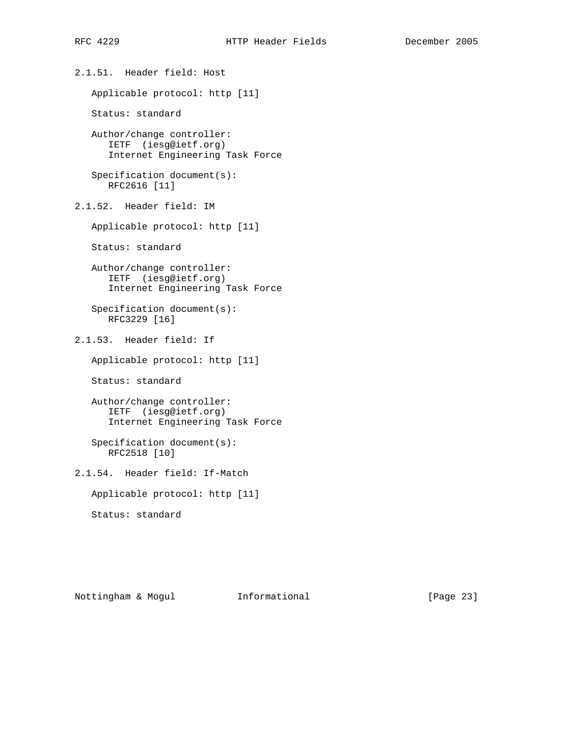2.1.51. Header field: Host Applicable protocol: http [11] Status: standard Author/change controller: IETF (iesg@ietf.org) Internet Engineering Task Force Specification document(s): RFC2616 [11] 2.1.52. Header field: IM Applicable protocol: http [11] Status: standard Author/change controller: IETF (iesg@ietf.org) Internet Engineering Task Force Specification document(s): RFC3229 [16] 2.1.53. Header field: If Applicable protocol: http [11] Status: standard Author/change controller: IETF (iesg@ietf.org) Internet Engineering Task Force Specification document(s): RFC2518 [10] 2.1.54. Header field: If-Match Applicable protocol: http [11] Status: standard

Nottingham & Mogul Informational [Page 23]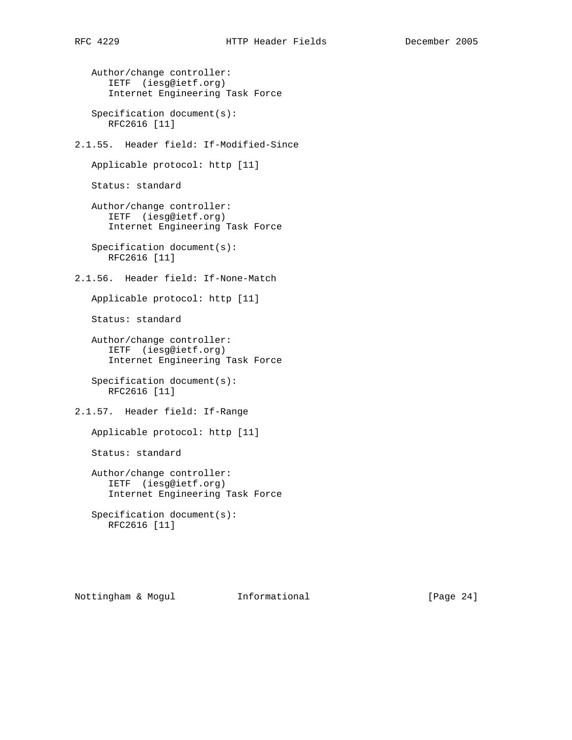Author/change controller: IETF (iesg@ietf.org) Internet Engineering Task Force Specification document(s): RFC2616 [11] 2.1.55. Header field: If-Modified-Since Applicable protocol: http [11] Status: standard Author/change controller: IETF (iesg@ietf.org) Internet Engineering Task Force Specification document(s): RFC2616 [11] 2.1.56. Header field: If-None-Match Applicable protocol: http [11] Status: standard Author/change controller: IETF (iesg@ietf.org) Internet Engineering Task Force Specification document(s): RFC2616 [11] 2.1.57. Header field: If-Range Applicable protocol: http [11] Status: standard Author/change controller: IETF (iesg@ietf.org) Internet Engineering Task Force Specification document(s): RFC2616 [11]

Nottingham & Mogul Informational [Page 24]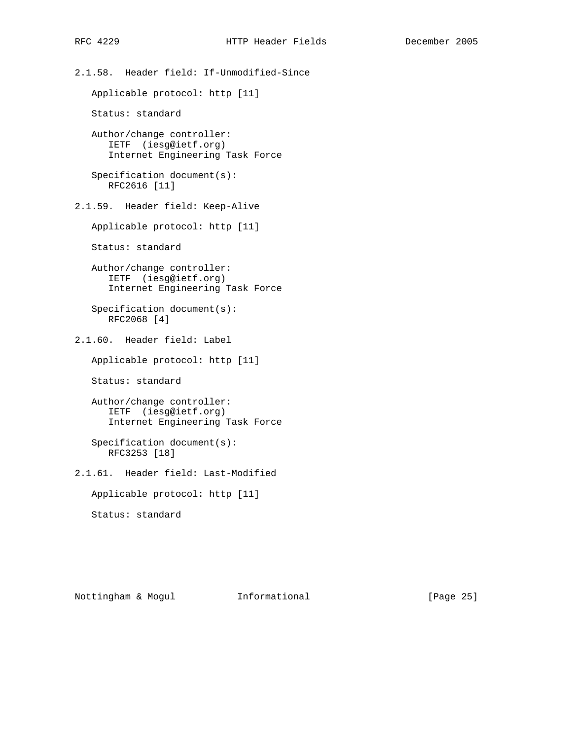2.1.58. Header field: If-Unmodified-Since Applicable protocol: http [11] Status: standard Author/change controller: IETF (iesg@ietf.org) Internet Engineering Task Force Specification document(s): RFC2616 [11] 2.1.59. Header field: Keep-Alive Applicable protocol: http [11] Status: standard Author/change controller: IETF (iesg@ietf.org) Internet Engineering Task Force Specification document(s): RFC2068 [4] 2.1.60. Header field: Label Applicable protocol: http [11] Status: standard Author/change controller: IETF (iesg@ietf.org) Internet Engineering Task Force Specification document(s): RFC3253 [18] 2.1.61. Header field: Last-Modified Applicable protocol: http [11] Status: standard

Nottingham & Mogul Informational [Page 25]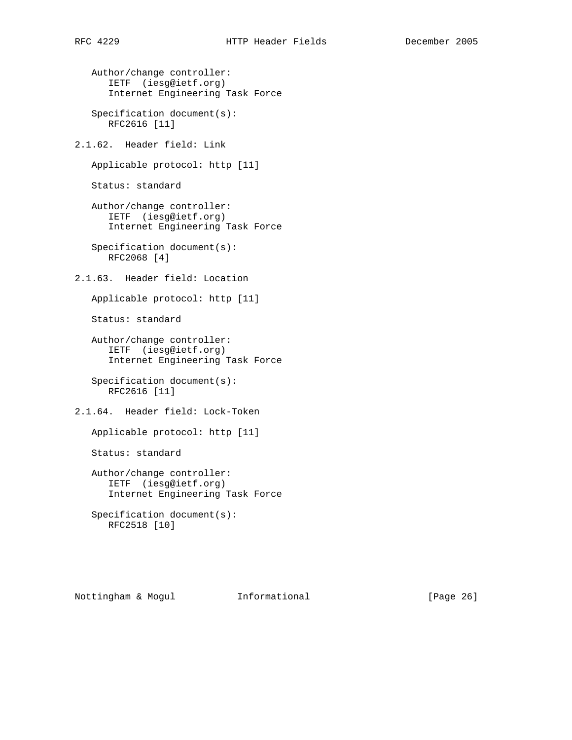```
 Author/change controller:
    IETF (iesg@ietf.org)
    Internet Engineering Task Force
```
 Specification document(s): RFC2616 [11]

2.1.62. Header field: Link

Applicable protocol: http [11]

Status: standard

```
 Author/change controller:
    IETF (iesg@ietf.org)
    Internet Engineering Task Force
```
 Specification document(s): RFC2068 [4]

2.1.63. Header field: Location

Applicable protocol: http [11]

Status: standard

```
 Author/change controller:
    IETF (iesg@ietf.org)
    Internet Engineering Task Force
```
 Specification document(s): RFC2616 [11]

2.1.64. Header field: Lock-Token

Applicable protocol: http [11]

Status: standard

 Author/change controller: IETF (iesg@ietf.org) Internet Engineering Task Force

 Specification document(s): RFC2518 [10]

Nottingham & Mogul Informational [Page 26]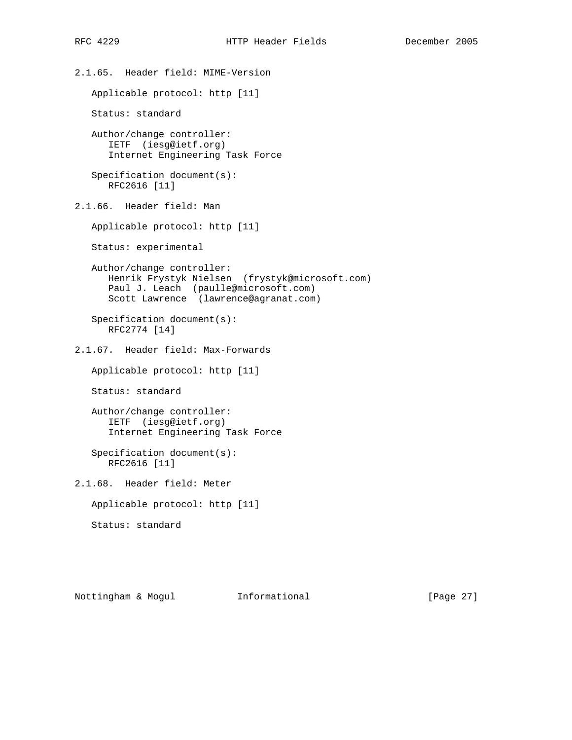2.1.65. Header field: MIME-Version Applicable protocol: http [11] Status: standard Author/change controller: IETF (iesg@ietf.org) Internet Engineering Task Force Specification document(s): RFC2616 [11] 2.1.66. Header field: Man Applicable protocol: http [11] Status: experimental Author/change controller: Henrik Frystyk Nielsen (frystyk@microsoft.com) Paul J. Leach (paulle@microsoft.com) Scott Lawrence (lawrence@agranat.com) Specification document(s): RFC2774 [14] 2.1.67. Header field: Max-Forwards Applicable protocol: http [11] Status: standard Author/change controller: IETF (iesg@ietf.org) Internet Engineering Task Force Specification document(s): RFC2616 [11] 2.1.68. Header field: Meter Applicable protocol: http [11] Status: standard

Nottingham & Mogul Informational [Page 27]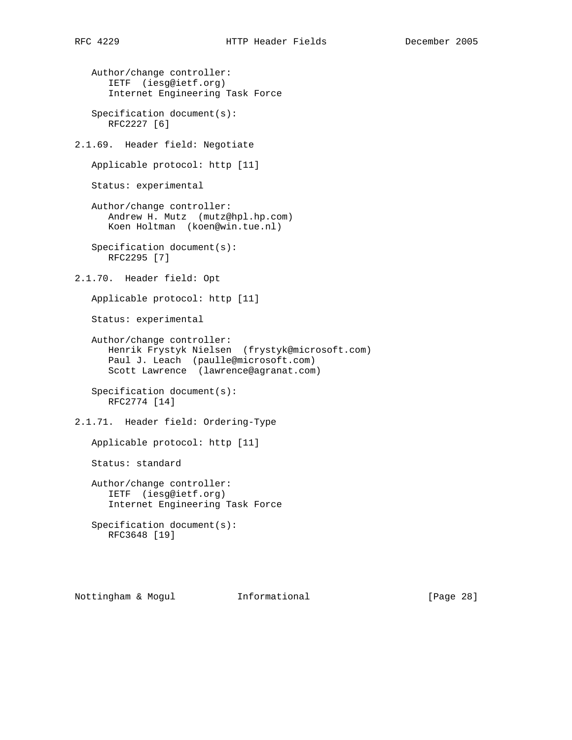Author/change controller: IETF (iesg@ietf.org) Internet Engineering Task Force Specification document(s): RFC2227 [6] 2.1.69. Header field: Negotiate Applicable protocol: http [11] Status: experimental Author/change controller: Andrew H. Mutz (mutz@hpl.hp.com) Koen Holtman (koen@win.tue.nl) Specification document(s): RFC2295 [7] 2.1.70. Header field: Opt Applicable protocol: http [11] Status: experimental Author/change controller: Henrik Frystyk Nielsen (frystyk@microsoft.com) Paul J. Leach (paulle@microsoft.com) Scott Lawrence (lawrence@agranat.com) Specification document(s): RFC2774 [14] 2.1.71. Header field: Ordering-Type Applicable protocol: http [11] Status: standard Author/change controller: IETF (iesg@ietf.org) Internet Engineering Task Force Specification document(s): RFC3648 [19]

Nottingham & Mogul Informational [Page 28]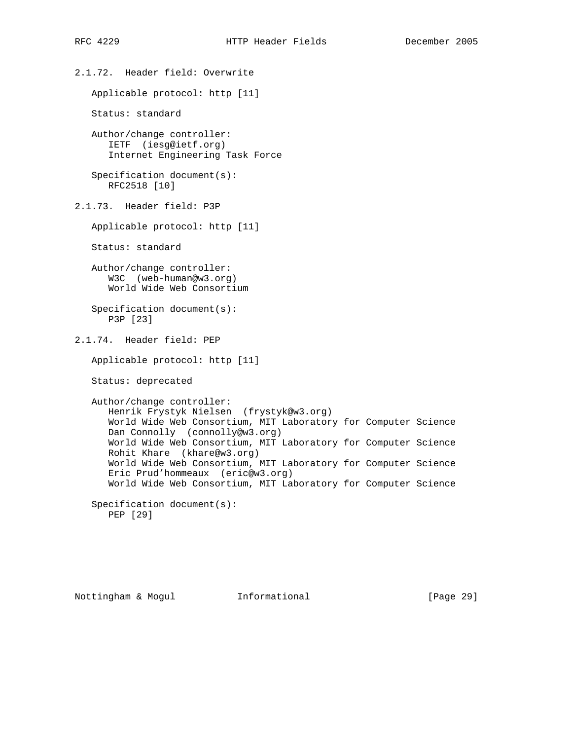2.1.72. Header field: Overwrite Applicable protocol: http [11] Status: standard Author/change controller: IETF (iesg@ietf.org) Internet Engineering Task Force Specification document(s): RFC2518 [10] 2.1.73. Header field: P3P Applicable protocol: http [11] Status: standard Author/change controller: W3C (web-human@w3.org) World Wide Web Consortium Specification document(s): P3P [23] 2.1.74. Header field: PEP Applicable protocol: http [11] Status: deprecated Author/change controller: Henrik Frystyk Nielsen (frystyk@w3.org) World Wide Web Consortium, MIT Laboratory for Computer Science Dan Connolly (connolly@w3.org) World Wide Web Consortium, MIT Laboratory for Computer Science Rohit Khare (khare@w3.org) World Wide Web Consortium, MIT Laboratory for Computer Science Eric Prud'hommeaux (eric@w3.org) World Wide Web Consortium, MIT Laboratory for Computer Science Specification document(s): PEP [29]

Nottingham & Mogul Informational [Page 29]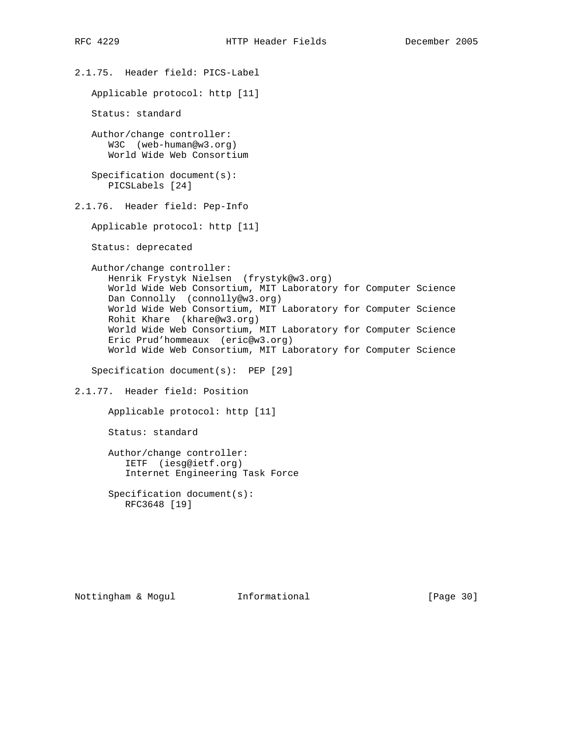2.1.75. Header field: PICS-Label Applicable protocol: http [11] Status: standard Author/change controller: W3C (web-human@w3.org) World Wide Web Consortium Specification document(s): PICSLabels [24] 2.1.76. Header field: Pep-Info Applicable protocol: http [11] Status: deprecated Author/change controller: Henrik Frystyk Nielsen (frystyk@w3.org) World Wide Web Consortium, MIT Laboratory for Computer Science Dan Connolly (connolly@w3.org) World Wide Web Consortium, MIT Laboratory for Computer Science Rohit Khare (khare@w3.org) World Wide Web Consortium, MIT Laboratory for Computer Science Eric Prud'hommeaux (eric@w3.org) World Wide Web Consortium, MIT Laboratory for Computer Science Specification document(s): PEP [29] 2.1.77. Header field: Position Applicable protocol: http [11] Status: standard Author/change controller: IETF (iesg@ietf.org) Internet Engineering Task Force Specification document(s): RFC3648 [19]

Nottingham & Mogul Informational [Page 30]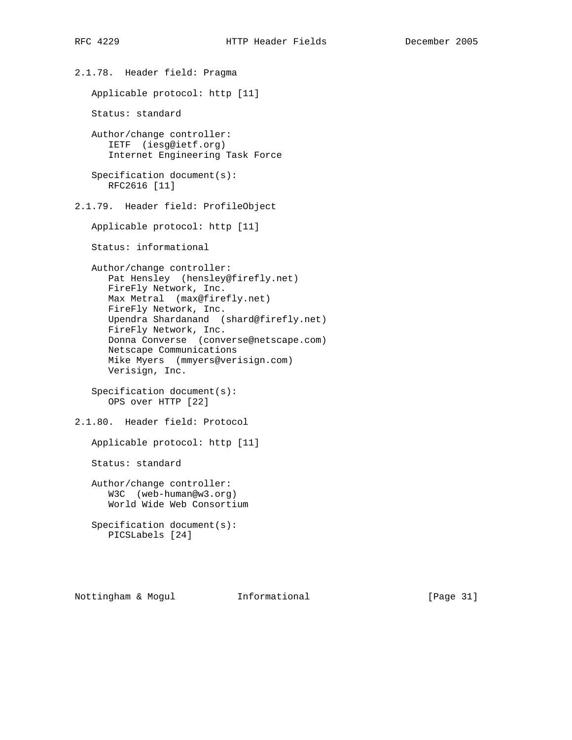2.1.78. Header field: Pragma Applicable protocol: http [11] Status: standard Author/change controller: IETF (iesg@ietf.org) Internet Engineering Task Force Specification document(s): RFC2616 [11] 2.1.79. Header field: ProfileObject Applicable protocol: http [11] Status: informational Author/change controller: Pat Hensley (hensley@firefly.net) FireFly Network, Inc. Max Metral (max@firefly.net) FireFly Network, Inc. Upendra Shardanand (shard@firefly.net) FireFly Network, Inc. Donna Converse (converse@netscape.com) Netscape Communications Mike Myers (mmyers@verisign.com) Verisign, Inc. Specification document(s): OPS over HTTP [22] 2.1.80. Header field: Protocol Applicable protocol: http [11] Status: standard Author/change controller: W3C (web-human@w3.org) World Wide Web Consortium Specification document(s): PICSLabels [24]

Nottingham & Mogul Informational [Page 31]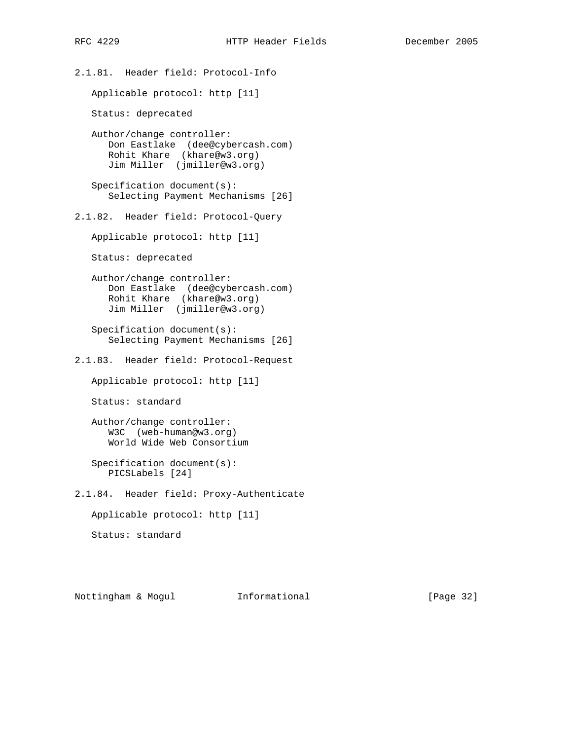2.1.81. Header field: Protocol-Info Applicable protocol: http [11] Status: deprecated Author/change controller: Don Eastlake (dee@cybercash.com) Rohit Khare (khare@w3.org) Jim Miller (jmiller@w3.org) Specification document(s): Selecting Payment Mechanisms [26] 2.1.82. Header field: Protocol-Query Applicable protocol: http [11] Status: deprecated Author/change controller: Don Eastlake (dee@cybercash.com) Rohit Khare (khare@w3.org) Jim Miller (jmiller@w3.org) Specification document(s): Selecting Payment Mechanisms [26] 2.1.83. Header field: Protocol-Request Applicable protocol: http [11] Status: standard Author/change controller: W3C (web-human@w3.org) World Wide Web Consortium Specification document(s): PICSLabels [24] 2.1.84. Header field: Proxy-Authenticate Applicable protocol: http [11] Status: standard

Nottingham & Mogul Informational [Page 32]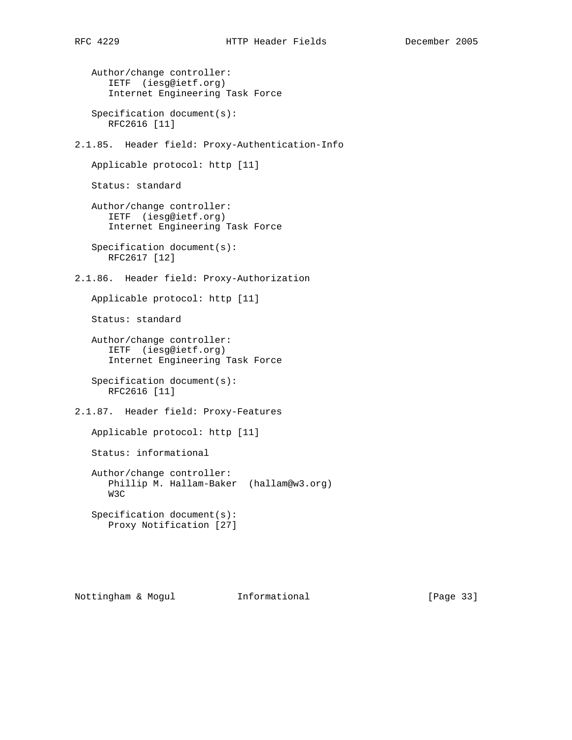```
 Author/change controller:
       IETF (iesg@ietf.org)
       Internet Engineering Task Force
   Specification document(s):
      RFC2616 [11]
2.1.85. Header field: Proxy-Authentication-Info
   Applicable protocol: http [11]
   Status: standard
   Author/change controller:
       IETF (iesg@ietf.org)
      Internet Engineering Task Force
   Specification document(s):
      RFC2617 [12]
2.1.86. Header field: Proxy-Authorization
   Applicable protocol: http [11]
   Status: standard
   Author/change controller:
      IETF (iesg@ietf.org)
      Internet Engineering Task Force
    Specification document(s):
      RFC2616 [11]
2.1.87. Header field: Proxy-Features
   Applicable protocol: http [11]
   Status: informational
   Author/change controller:
      Phillip M. Hallam-Baker (hallam@w3.org)
      W3C
```
 Specification document(s): Proxy Notification [27]

Nottingham & Mogul Informational [Page 33]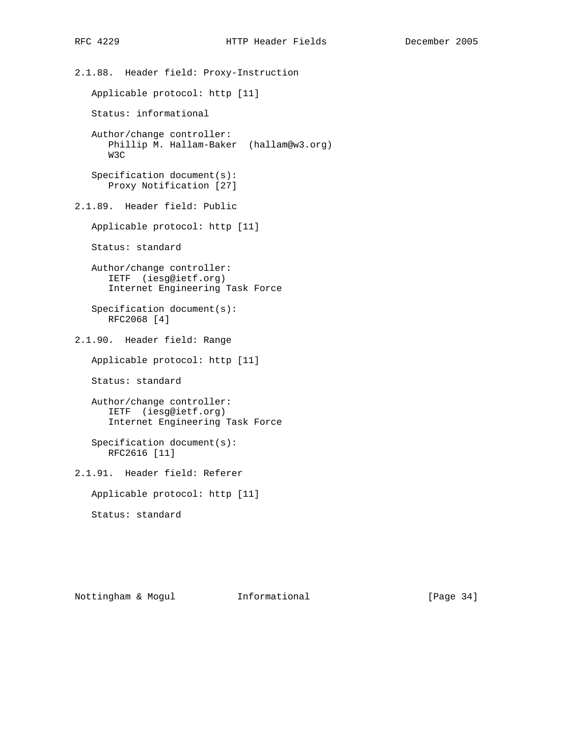2.1.88. Header field: Proxy-Instruction Applicable protocol: http [11] Status: informational Author/change controller: Phillip M. Hallam-Baker (hallam@w3.org) W3C Specification document(s): Proxy Notification [27] 2.1.89. Header field: Public Applicable protocol: http [11] Status: standard Author/change controller: IETF (iesg@ietf.org) Internet Engineering Task Force Specification document(s): RFC2068 [4] 2.1.90. Header field: Range Applicable protocol: http [11] Status: standard Author/change controller: IETF (iesg@ietf.org) Internet Engineering Task Force Specification document(s): RFC2616 [11] 2.1.91. Header field: Referer Applicable protocol: http [11] Status: standard

Nottingham & Mogul Informational [Page 34]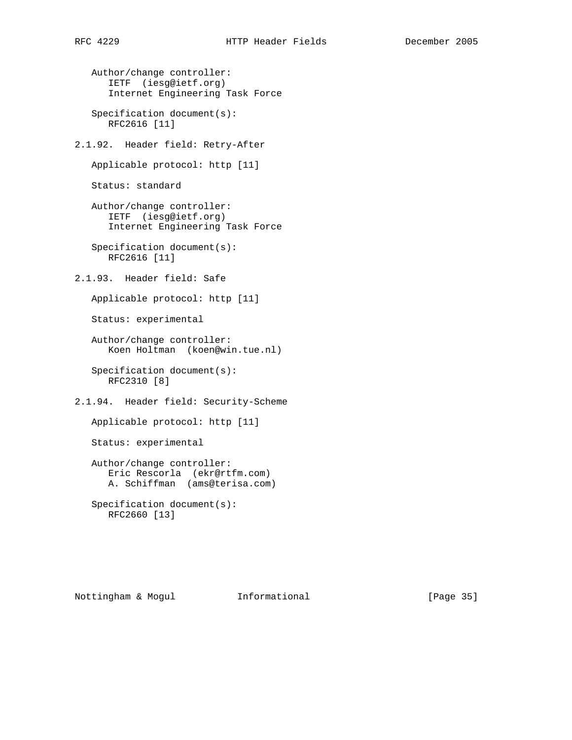Author/change controller: IETF (iesg@ietf.org) Internet Engineering Task Force Specification document(s): RFC2616 [11] 2.1.92. Header field: Retry-After Applicable protocol: http [11] Status: standard Author/change controller: IETF (iesg@ietf.org) Internet Engineering Task Force Specification document(s): RFC2616 [11] 2.1.93. Header field: Safe Applicable protocol: http [11] Status: experimental Author/change controller: Koen Holtman (koen@win.tue.nl) Specification document(s): RFC2310 [8] 2.1.94. Header field: Security-Scheme Applicable protocol: http [11]

Status: experimental

 Author/change controller: Eric Rescorla (ekr@rtfm.com) A. Schiffman (ams@terisa.com)

 Specification document(s): RFC2660 [13]

Nottingham & Mogul Informational [Page 35]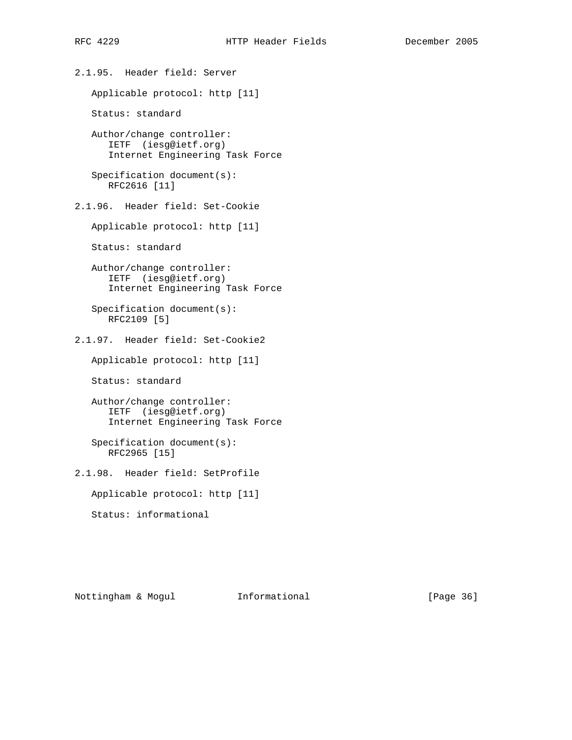2.1.95. Header field: Server Applicable protocol: http [11] Status: standard Author/change controller: IETF (iesg@ietf.org) Internet Engineering Task Force Specification document(s): RFC2616 [11] 2.1.96. Header field: Set-Cookie Applicable protocol: http [11] Status: standard Author/change controller: IETF (iesg@ietf.org) Internet Engineering Task Force Specification document(s): RFC2109 [5] 2.1.97. Header field: Set-Cookie2 Applicable protocol: http [11] Status: standard Author/change controller: IETF (iesg@ietf.org) Internet Engineering Task Force Specification document(s): RFC2965 [15] 2.1.98. Header field: SetProfile Applicable protocol: http [11] Status: informational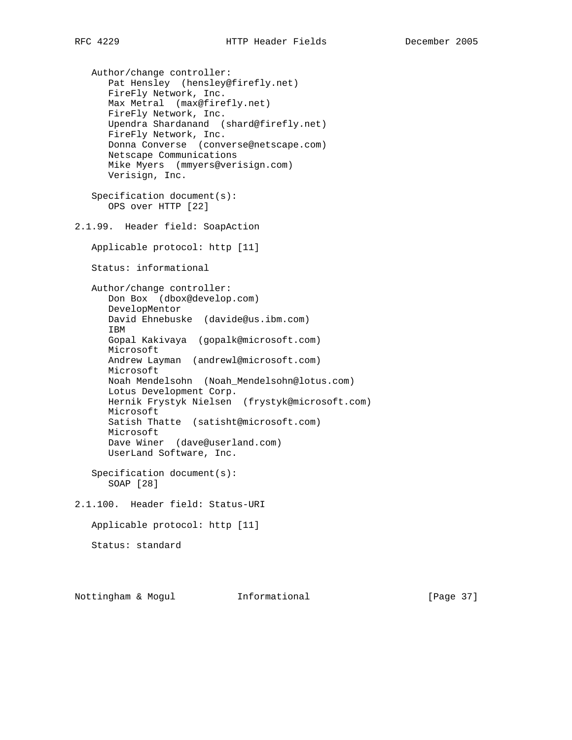Author/change controller: Pat Hensley (hensley@firefly.net) FireFly Network, Inc. Max Metral (max@firefly.net) FireFly Network, Inc. Upendra Shardanand (shard@firefly.net) FireFly Network, Inc. Donna Converse (converse@netscape.com) Netscape Communications Mike Myers (mmyers@verisign.com) Verisign, Inc. Specification document(s): OPS over HTTP [22] 2.1.99. Header field: SoapAction Applicable protocol: http [11] Status: informational Author/change controller: Don Box (dbox@develop.com) DevelopMentor David Ehnebuske (davide@us.ibm.com) IBM Gopal Kakivaya (gopalk@microsoft.com) Microsoft Andrew Layman (andrewl@microsoft.com) Microsoft Noah Mendelsohn (Noah\_Mendelsohn@lotus.com) Lotus Development Corp. Hernik Frystyk Nielsen (frystyk@microsoft.com) Microsoft Satish Thatte (satisht@microsoft.com) Microsoft Dave Winer (dave@userland.com) UserLand Software, Inc. Specification document(s): SOAP [28] 2.1.100. Header field: Status-URI Applicable protocol: http [11] Status: standard

Nottingham & Mogul Informational [Page 37]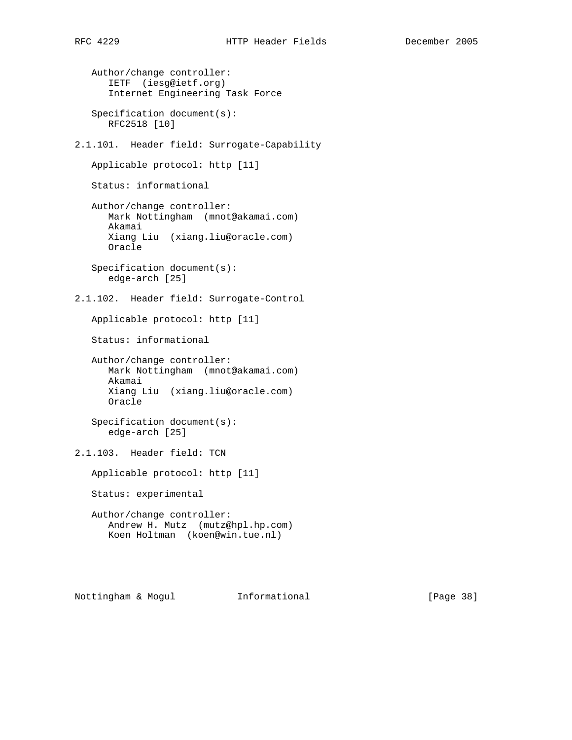Author/change controller: IETF (iesg@ietf.org) Internet Engineering Task Force Specification document(s): RFC2518 [10] 2.1.101. Header field: Surrogate-Capability Applicable protocol: http [11] Status: informational Author/change controller: Mark Nottingham (mnot@akamai.com) Akamai Xiang Liu (xiang.liu@oracle.com) Oracle Specification document(s): edge-arch [25] 2.1.102. Header field: Surrogate-Control Applicable protocol: http [11] Status: informational Author/change controller: Mark Nottingham (mnot@akamai.com) Akamai Xiang Liu (xiang.liu@oracle.com) Oracle Specification document(s): edge-arch [25] 2.1.103. Header field: TCN Applicable protocol: http [11] Status: experimental Author/change controller: Andrew H. Mutz (mutz@hpl.hp.com) Koen Holtman (koen@win.tue.nl)

Nottingham & Mogul Informational [Page 38]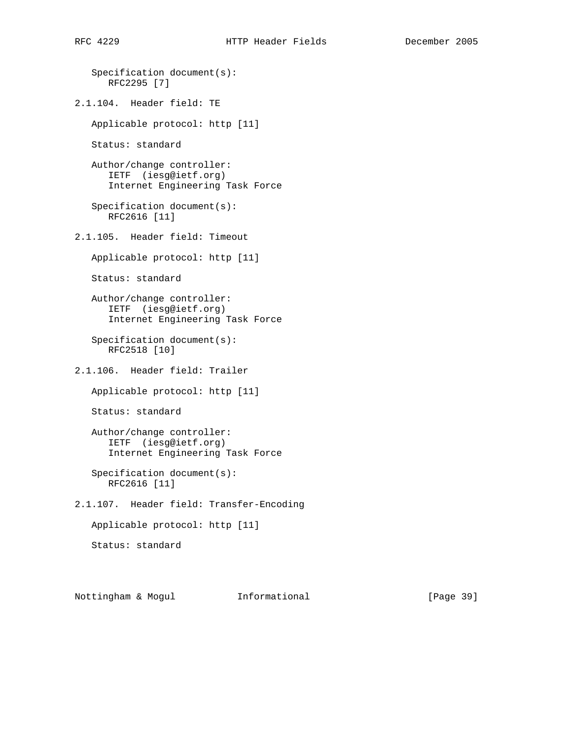```
 Specification document(s):
      RFC2295 [7]
2.1.104. Header field: TE
   Applicable protocol: http [11]
   Status: standard
   Author/change controller:
      IETF (iesg@ietf.org)
      Internet Engineering Task Force
   Specification document(s):
      RFC2616 [11]
2.1.105. Header field: Timeout
   Applicable protocol: http [11]
   Status: standard
   Author/change controller:
      IETF (iesg@ietf.org)
      Internet Engineering Task Force
    Specification document(s):
      RFC2518 [10]
2.1.106. Header field: Trailer
   Applicable protocol: http [11]
   Status: standard
   Author/change controller:
      IETF (iesg@ietf.org)
       Internet Engineering Task Force
    Specification document(s):
      RFC2616 [11]
2.1.107. Header field: Transfer-Encoding
   Applicable protocol: http [11]
   Status: standard
```
Nottingham & Mogul Informational [Page 39]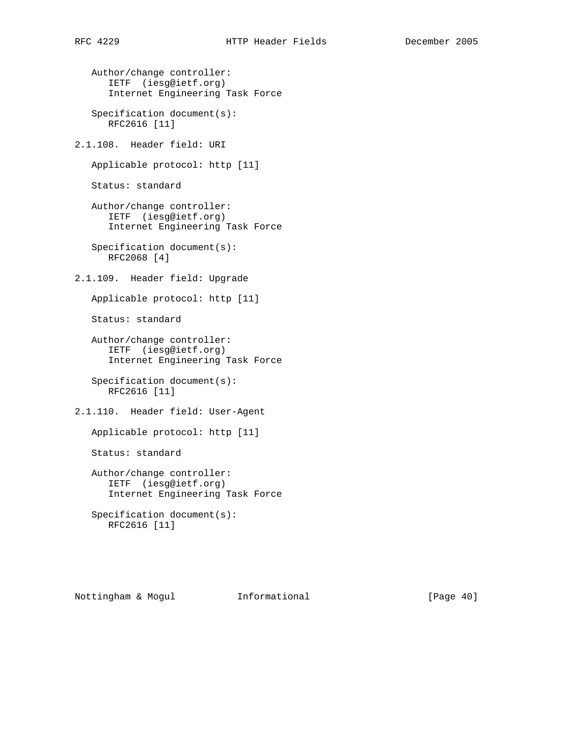Author/change controller: IETF (iesg@ietf.org) Internet Engineering Task Force

 Specification document(s): RFC2616 [11]

2.1.108. Header field: URI

Applicable protocol: http [11]

Status: standard

 Author/change controller: IETF (iesg@ietf.org) Internet Engineering Task Force

 Specification document(s): RFC2068 [4]

2.1.109. Header field: Upgrade

Applicable protocol: http [11]

Status: standard

 Author/change controller: IETF (iesg@ietf.org) Internet Engineering Task Force

 Specification document(s): RFC2616 [11]

2.1.110. Header field: User-Agent

Applicable protocol: http [11]

Status: standard

 Author/change controller: IETF (iesg@ietf.org) Internet Engineering Task Force

 Specification document(s): RFC2616 [11]

Nottingham & Mogul Informational [Page 40]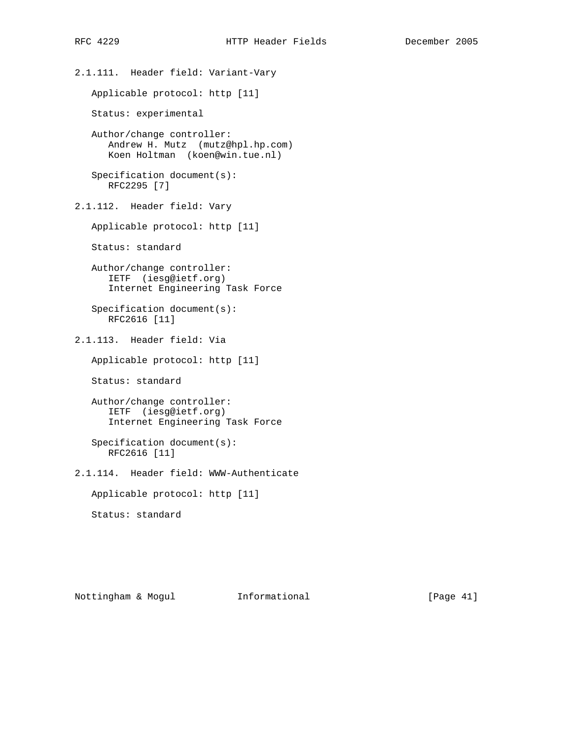2.1.111. Header field: Variant-Vary Applicable protocol: http [11] Status: experimental Author/change controller: Andrew H. Mutz (mutz@hpl.hp.com) Koen Holtman (koen@win.tue.nl) Specification document(s): RFC2295 [7] 2.1.112. Header field: Vary Applicable protocol: http [11] Status: standard Author/change controller: IETF (iesg@ietf.org) Internet Engineering Task Force Specification document(s): RFC2616 [11] 2.1.113. Header field: Via Applicable protocol: http [11] Status: standard Author/change controller: IETF (iesg@ietf.org) Internet Engineering Task Force Specification document(s): RFC2616 [11] 2.1.114. Header field: WWW-Authenticate Applicable protocol: http [11] Status: standard

Nottingham & Mogul Informational [Page 41]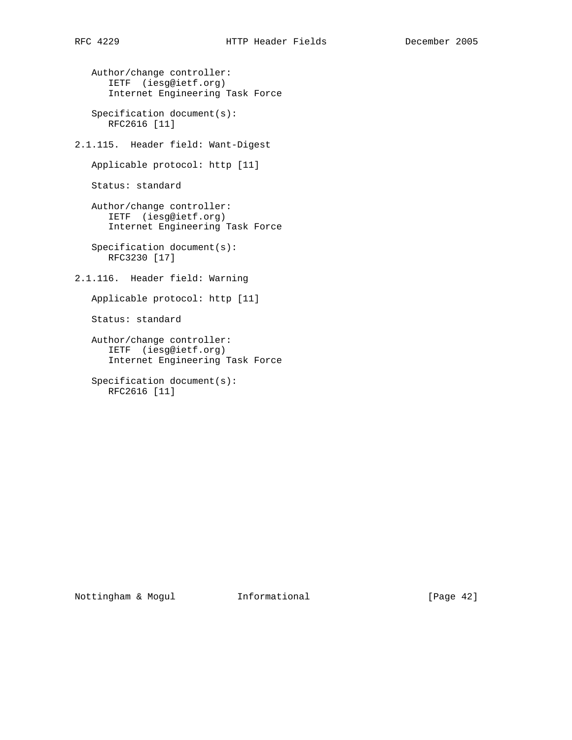Author/change controller: IETF (iesg@ietf.org) Internet Engineering Task Force

 Specification document(s): RFC2616 [11]

2.1.115. Header field: Want-Digest

Applicable protocol: http [11]

Status: standard

 Author/change controller: IETF (iesg@ietf.org) Internet Engineering Task Force

 Specification document(s): RFC3230 [17]

2.1.116. Header field: Warning

Applicable protocol: http [11]

Status: standard

 Author/change controller: IETF (iesg@ietf.org) Internet Engineering Task Force

 Specification document(s): RFC2616 [11]

Nottingham & Mogul Informational [Page 42]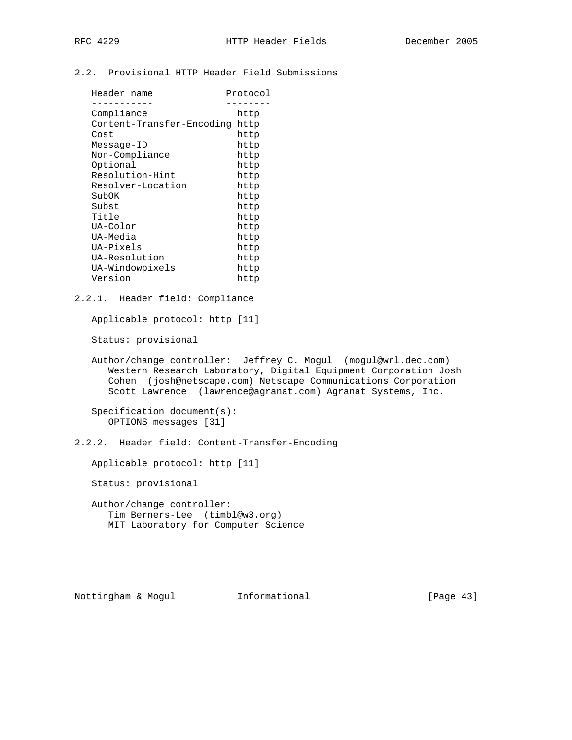# 2.2. Provisional HTTP Header Field Submissions

| Header name               | Protocol |  |
|---------------------------|----------|--|
| Compliance                | http     |  |
| Content-Transfer-Encoding | http     |  |
|                           |          |  |
| Cost                      | http     |  |
| Message-ID                | http     |  |
| Non-Compliance            | http     |  |
| Optional                  | http     |  |
| Resolution-Hint           | http     |  |
| Resolver-Location         | http     |  |
| SubOK                     | http     |  |
| Subst                     | http     |  |
| Title                     | http     |  |
| UA-Color                  | http     |  |
| UA-Media                  | http     |  |
| UA-Pixels                 | http     |  |
| UA-Resolution             | http     |  |
| UA-Windowpixels           | http     |  |
| Version                   | http     |  |
|                           |          |  |

2.2.1. Header field: Compliance

Applicable protocol: http [11]

Status: provisional

 Author/change controller: Jeffrey C. Mogul (mogul@wrl.dec.com) Western Research Laboratory, Digital Equipment Corporation Josh Cohen (josh@netscape.com) Netscape Communications Corporation Scott Lawrence (lawrence@agranat.com) Agranat Systems, Inc.

 Specification document(s): OPTIONS messages [31]

2.2.2. Header field: Content-Transfer-Encoding

Applicable protocol: http [11]

Status: provisional

 Author/change controller: Tim Berners-Lee (timbl@w3.org) MIT Laboratory for Computer Science

Nottingham & Mogul Informational [Page 43]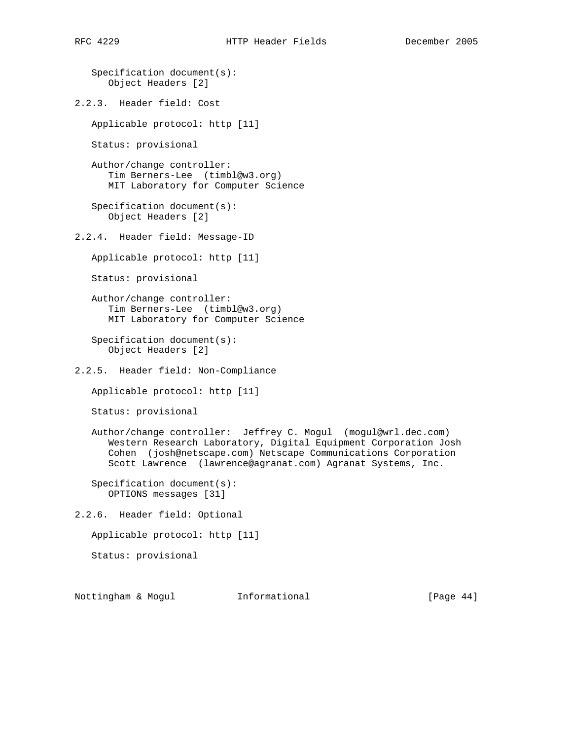```
 Specification document(s):
      Object Headers [2]
2.2.3. Header field: Cost
   Applicable protocol: http [11]
   Status: provisional
   Author/change controller:
       Tim Berners-Lee (timbl@w3.org)
      MIT Laboratory for Computer Science
    Specification document(s):
      Object Headers [2]
2.2.4. Header field: Message-ID
   Applicable protocol: http [11]
   Status: provisional
   Author/change controller:
      Tim Berners-Lee (timbl@w3.org)
      MIT Laboratory for Computer Science
    Specification document(s):
      Object Headers [2]
2.2.5. Header field: Non-Compliance
   Applicable protocol: http [11]
   Status: provisional
   Author/change controller: Jeffrey C. Mogul (mogul@wrl.dec.com)
      Western Research Laboratory, Digital Equipment Corporation Josh
       Cohen (josh@netscape.com) Netscape Communications Corporation
       Scott Lawrence (lawrence@agranat.com) Agranat Systems, Inc.
    Specification document(s):
      OPTIONS messages [31]
2.2.6. Header field: Optional
   Applicable protocol: http [11]
   Status: provisional
```
Nottingham & Mogul Informational [Page 44]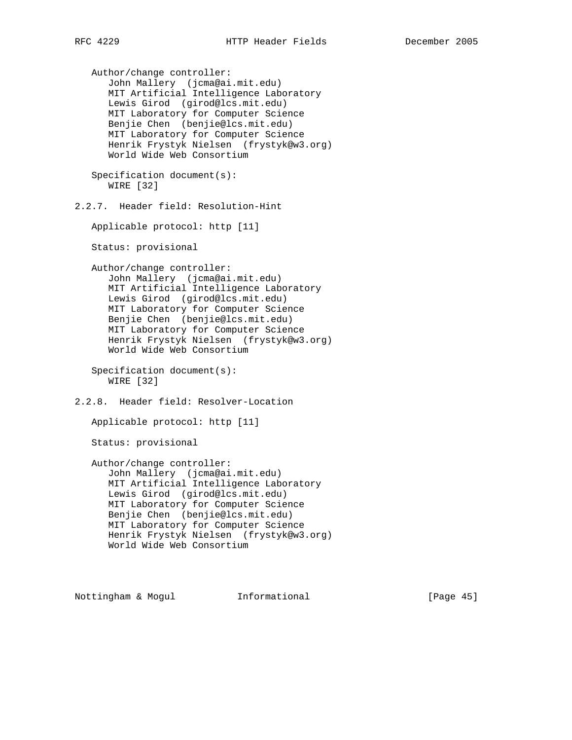Author/change controller: John Mallery (jcma@ai.mit.edu) MIT Artificial Intelligence Laboratory Lewis Girod (girod@lcs.mit.edu) MIT Laboratory for Computer Science Benjie Chen (benjie@lcs.mit.edu) MIT Laboratory for Computer Science Henrik Frystyk Nielsen (frystyk@w3.org) World Wide Web Consortium Specification document(s): WIRE [32] 2.2.7. Header field: Resolution-Hint Applicable protocol: http [11] Status: provisional Author/change controller: John Mallery (jcma@ai.mit.edu) MIT Artificial Intelligence Laboratory Lewis Girod (girod@lcs.mit.edu) MIT Laboratory for Computer Science Benjie Chen (benjie@lcs.mit.edu) MIT Laboratory for Computer Science Henrik Frystyk Nielsen (frystyk@w3.org) World Wide Web Consortium Specification document(s): WIRE [32] 2.2.8. Header field: Resolver-Location Applicable protocol: http [11] Status: provisional Author/change controller: John Mallery (jcma@ai.mit.edu) MIT Artificial Intelligence Laboratory Lewis Girod (girod@lcs.mit.edu) MIT Laboratory for Computer Science Benjie Chen (benjie@lcs.mit.edu) MIT Laboratory for Computer Science Henrik Frystyk Nielsen (frystyk@w3.org) World Wide Web Consortium

Nottingham & Mogul Informational [Page 45]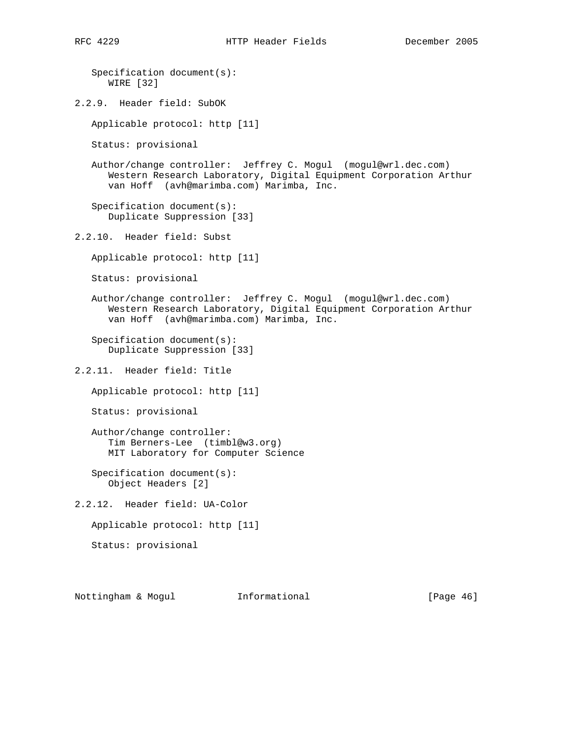```
 Specification document(s):
      WIRE [32]
2.2.9. Header field: SubOK
   Applicable protocol: http [11]
   Status: provisional
   Author/change controller: Jeffrey C. Mogul (mogul@wrl.dec.com)
       Western Research Laboratory, Digital Equipment Corporation Arthur
       van Hoff (avh@marimba.com) Marimba, Inc.
    Specification document(s):
       Duplicate Suppression [33]
2.2.10. Header field: Subst
   Applicable protocol: http [11]
   Status: provisional
   Author/change controller: Jeffrey C. Mogul (mogul@wrl.dec.com)
       Western Research Laboratory, Digital Equipment Corporation Arthur
      van Hoff (avh@marimba.com) Marimba, Inc.
    Specification document(s):
      Duplicate Suppression [33]
2.2.11. Header field: Title
   Applicable protocol: http [11]
   Status: provisional
   Author/change controller:
       Tim Berners-Lee (timbl@w3.org)
       MIT Laboratory for Computer Science
    Specification document(s):
      Object Headers [2]
2.2.12. Header field: UA-Color
   Applicable protocol: http [11]
   Status: provisional
```
Nottingham & Mogul Informational [Page 46]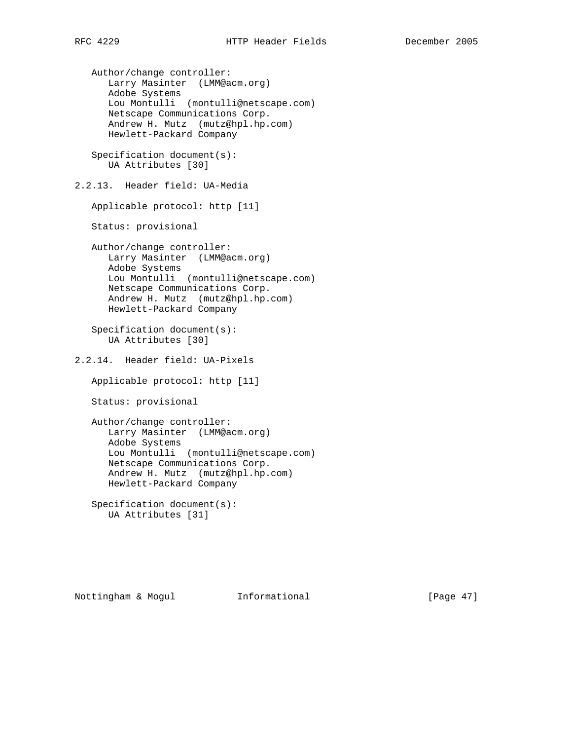Author/change controller: Larry Masinter (LMM@acm.org) Adobe Systems Lou Montulli (montulli@netscape.com) Netscape Communications Corp. Andrew H. Mutz (mutz@hpl.hp.com) Hewlett-Packard Company Specification document(s): UA Attributes [30] 2.2.13. Header field: UA-Media Applicable protocol: http [11] Status: provisional Author/change controller: Larry Masinter (LMM@acm.org) Adobe Systems Lou Montulli (montulli@netscape.com) Netscape Communications Corp. Andrew H. Mutz (mutz@hpl.hp.com) Hewlett-Packard Company Specification document(s): UA Attributes [30] 2.2.14. Header field: UA-Pixels Applicable protocol: http [11] Status: provisional Author/change controller: Larry Masinter (LMM@acm.org) Adobe Systems Lou Montulli (montulli@netscape.com) Netscape Communications Corp. Andrew H. Mutz (mutz@hpl.hp.com) Hewlett-Packard Company Specification document(s):

UA Attributes [31]

Nottingham & Mogul Informational [Page 47]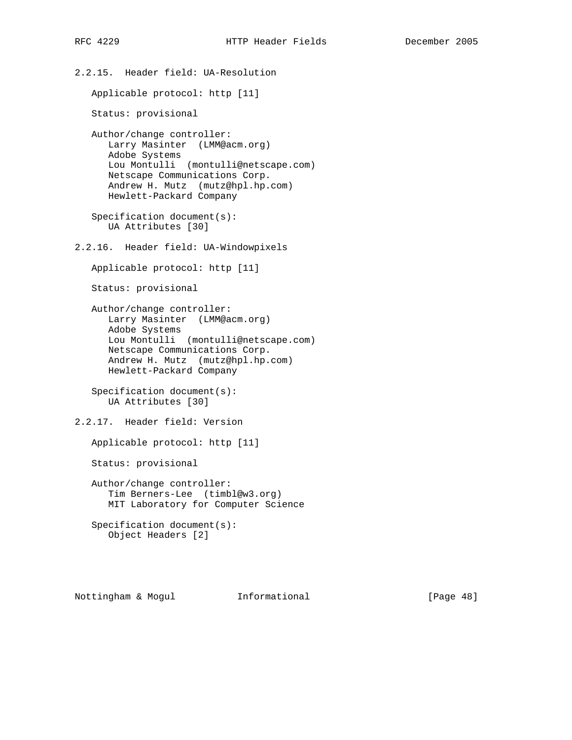2.2.15. Header field: UA-Resolution Applicable protocol: http [11] Status: provisional Author/change controller: Larry Masinter (LMM@acm.org) Adobe Systems Lou Montulli (montulli@netscape.com) Netscape Communications Corp. Andrew H. Mutz (mutz@hpl.hp.com) Hewlett-Packard Company Specification document(s): UA Attributes [30] 2.2.16. Header field: UA-Windowpixels Applicable protocol: http [11] Status: provisional Author/change controller: Larry Masinter (LMM@acm.org) Adobe Systems Lou Montulli (montulli@netscape.com) Netscape Communications Corp. Andrew H. Mutz (mutz@hpl.hp.com) Hewlett-Packard Company Specification document(s): UA Attributes [30] 2.2.17. Header field: Version Applicable protocol: http [11] Status: provisional Author/change controller: Tim Berners-Lee (timbl@w3.org) MIT Laboratory for Computer Science Specification document(s): Object Headers [2]

Nottingham & Mogul Informational [Page 48]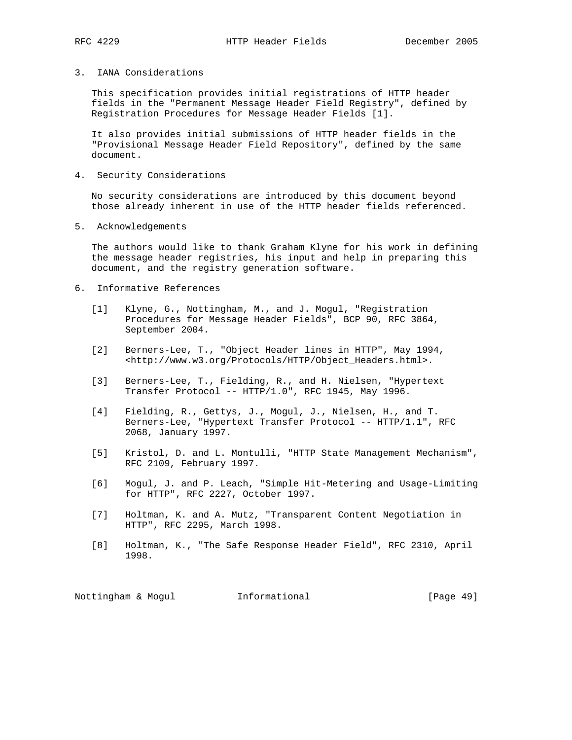#### 3. IANA Considerations

 This specification provides initial registrations of HTTP header fields in the "Permanent Message Header Field Registry", defined by Registration Procedures for Message Header Fields [1].

 It also provides initial submissions of HTTP header fields in the "Provisional Message Header Field Repository", defined by the same document.

4. Security Considerations

 No security considerations are introduced by this document beyond those already inherent in use of the HTTP header fields referenced.

5. Acknowledgements

 The authors would like to thank Graham Klyne for his work in defining the message header registries, his input and help in preparing this document, and the registry generation software.

- 6. Informative References
	- [1] Klyne, G., Nottingham, M., and J. Mogul, "Registration Procedures for Message Header Fields", BCP 90, RFC 3864, September 2004.
	- [2] Berners-Lee, T., "Object Header lines in HTTP", May 1994, <http://www.w3.org/Protocols/HTTP/Object\_Headers.html>.
	- [3] Berners-Lee, T., Fielding, R., and H. Nielsen, "Hypertext Transfer Protocol -- HTTP/1.0", RFC 1945, May 1996.
	- [4] Fielding, R., Gettys, J., Mogul, J., Nielsen, H., and T. Berners-Lee, "Hypertext Transfer Protocol -- HTTP/1.1", RFC 2068, January 1997.
	- [5] Kristol, D. and L. Montulli, "HTTP State Management Mechanism", RFC 2109, February 1997.
	- [6] Mogul, J. and P. Leach, "Simple Hit-Metering and Usage-Limiting for HTTP", RFC 2227, October 1997.
	- [7] Holtman, K. and A. Mutz, "Transparent Content Negotiation in HTTP", RFC 2295, March 1998.
	- [8] Holtman, K., "The Safe Response Header Field", RFC 2310, April 1998.

Nottingham & Mogul **Informational Informational** [Page 49]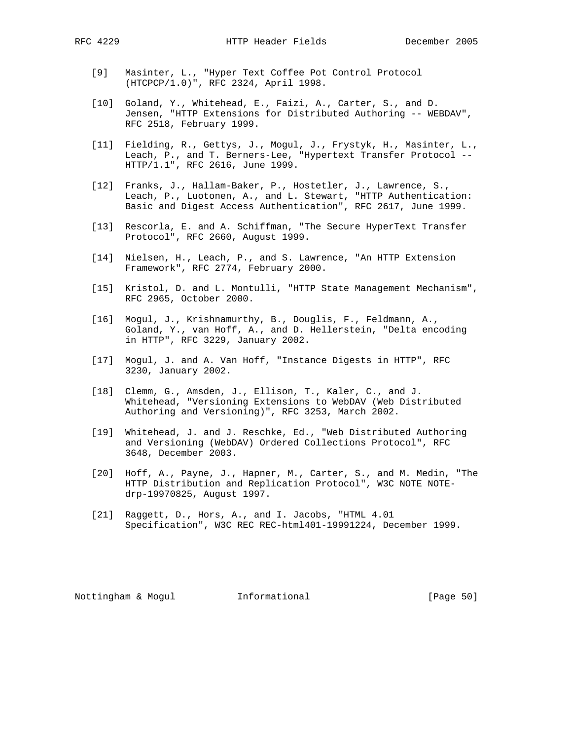- [9] Masinter, L., "Hyper Text Coffee Pot Control Protocol (HTCPCP/1.0)", RFC 2324, April 1998.
- [10] Goland, Y., Whitehead, E., Faizi, A., Carter, S., and D. Jensen, "HTTP Extensions for Distributed Authoring -- WEBDAV", RFC 2518, February 1999.
- [11] Fielding, R., Gettys, J., Mogul, J., Frystyk, H., Masinter, L., Leach, P., and T. Berners-Lee, "Hypertext Transfer Protocol -- HTTP/1.1", RFC 2616, June 1999.
- [12] Franks, J., Hallam-Baker, P., Hostetler, J., Lawrence, S., Leach, P., Luotonen, A., and L. Stewart, "HTTP Authentication: Basic and Digest Access Authentication", RFC 2617, June 1999.
- [13] Rescorla, E. and A. Schiffman, "The Secure HyperText Transfer Protocol", RFC 2660, August 1999.
- [14] Nielsen, H., Leach, P., and S. Lawrence, "An HTTP Extension Framework", RFC 2774, February 2000.
- [15] Kristol, D. and L. Montulli, "HTTP State Management Mechanism", RFC 2965, October 2000.
- [16] Mogul, J., Krishnamurthy, B., Douglis, F., Feldmann, A., Goland, Y., van Hoff, A., and D. Hellerstein, "Delta encoding in HTTP", RFC 3229, January 2002.
- [17] Mogul, J. and A. Van Hoff, "Instance Digests in HTTP", RFC 3230, January 2002.
- [18] Clemm, G., Amsden, J., Ellison, T., Kaler, C., and J. Whitehead, "Versioning Extensions to WebDAV (Web Distributed Authoring and Versioning)", RFC 3253, March 2002.
- [19] Whitehead, J. and J. Reschke, Ed., "Web Distributed Authoring and Versioning (WebDAV) Ordered Collections Protocol", RFC 3648, December 2003.
- [20] Hoff, A., Payne, J., Hapner, M., Carter, S., and M. Medin, "The HTTP Distribution and Replication Protocol", W3C NOTE NOTE drp-19970825, August 1997.
- [21] Raggett, D., Hors, A., and I. Jacobs, "HTML 4.01 Specification", W3C REC REC-html401-19991224, December 1999.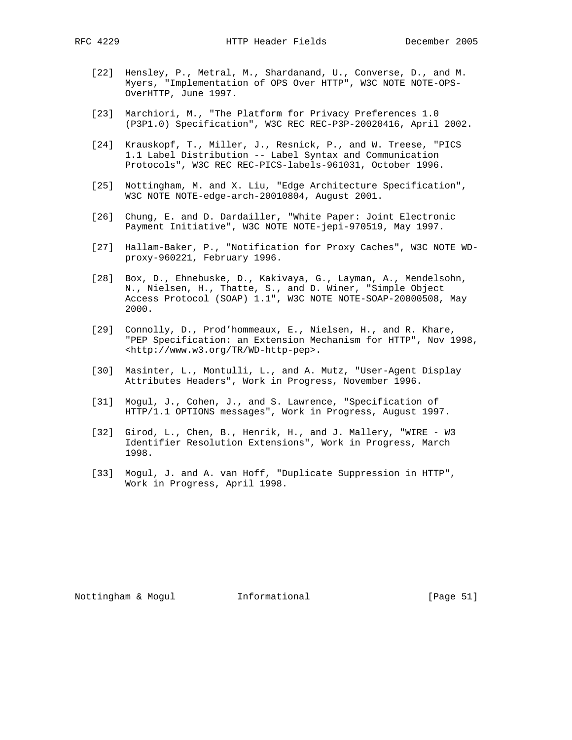- [22] Hensley, P., Metral, M., Shardanand, U., Converse, D., and M. Myers, "Implementation of OPS Over HTTP", W3C NOTE NOTE-OPS- OverHTTP, June 1997.
- [23] Marchiori, M., "The Platform for Privacy Preferences 1.0 (P3P1.0) Specification", W3C REC REC-P3P-20020416, April 2002.
- [24] Krauskopf, T., Miller, J., Resnick, P., and W. Treese, "PICS 1.1 Label Distribution -- Label Syntax and Communication Protocols", W3C REC REC-PICS-labels-961031, October 1996.
- [25] Nottingham, M. and X. Liu, "Edge Architecture Specification", W3C NOTE NOTE-edge-arch-20010804, August 2001.
- [26] Chung, E. and D. Dardailler, "White Paper: Joint Electronic Payment Initiative", W3C NOTE NOTE-jepi-970519, May 1997.
- [27] Hallam-Baker, P., "Notification for Proxy Caches", W3C NOTE WD proxy-960221, February 1996.
- [28] Box, D., Ehnebuske, D., Kakivaya, G., Layman, A., Mendelsohn, N., Nielsen, H., Thatte, S., and D. Winer, "Simple Object Access Protocol (SOAP) 1.1", W3C NOTE NOTE-SOAP-20000508, May 2000.
- [29] Connolly, D., Prod'hommeaux, E., Nielsen, H., and R. Khare, "PEP Specification: an Extension Mechanism for HTTP", Nov 1998, <http://www.w3.org/TR/WD-http-pep>.
- [30] Masinter, L., Montulli, L., and A. Mutz, "User-Agent Display Attributes Headers", Work in Progress, November 1996.
- [31] Mogul, J., Cohen, J., and S. Lawrence, "Specification of HTTP/1.1 OPTIONS messages", Work in Progress, August 1997.
- [32] Girod, L., Chen, B., Henrik, H., and J. Mallery, "WIRE W3 Identifier Resolution Extensions", Work in Progress, March 1998.
- [33] Mogul, J. and A. van Hoff, "Duplicate Suppression in HTTP", Work in Progress, April 1998.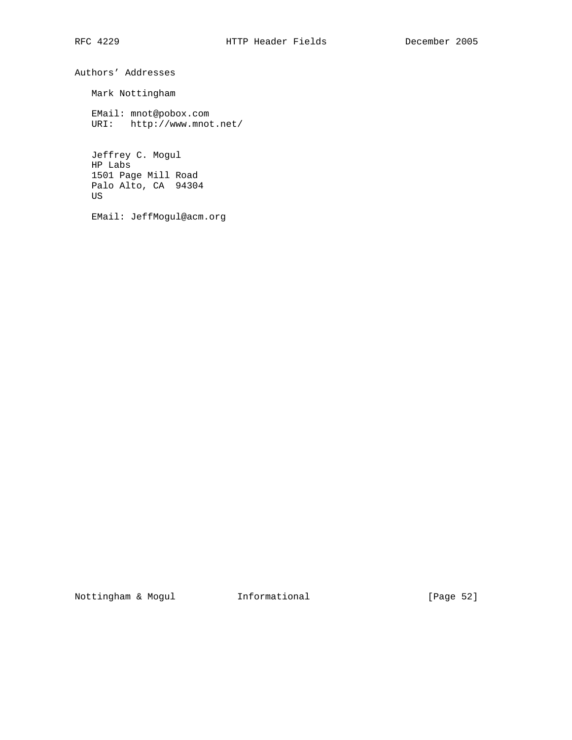Authors' Addresses

Mark Nottingham

 EMail: mnot@pobox.com URI: http://www.mnot.net/

 Jeffrey C. Mogul HP Labs 1501 Page Mill Road Palo Alto, CA 94304 US

EMail: JeffMogul@acm.org